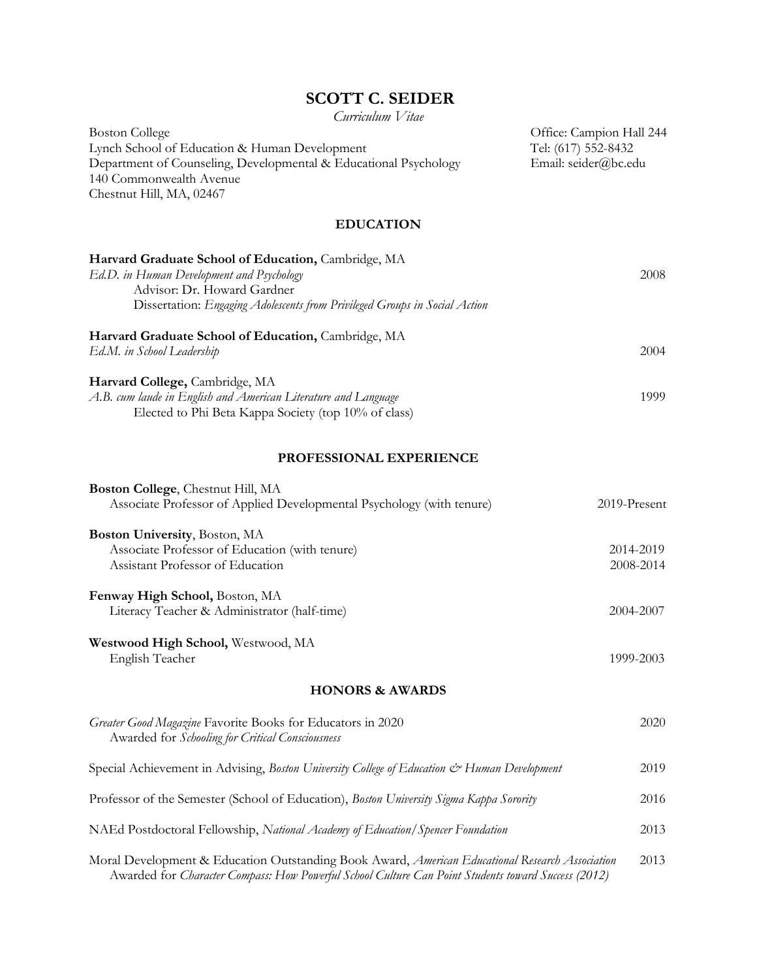# **SCOTT C. SEIDER**

*Curriculum Vitae*

| Boston College                                                   | Office: Campion Hall 244 |
|------------------------------------------------------------------|--------------------------|
| Lynch School of Education & Human Development                    | Tel: (617) 552-8432      |
| Department of Counseling, Developmental & Educational Psychology | Email: seider@bc.edu     |
| 140 Commonwealth Avenue                                          |                          |
| Chestnut Hill, MA, 02467                                         |                          |

# **EDUCATION**

| Harvard Graduate School of Education, Cambridge, MA                        |      |
|----------------------------------------------------------------------------|------|
| Ed.D. in Human Development and Psychology                                  |      |
| Advisor: Dr. Howard Gardner                                                |      |
| Dissertation: Engaging Adolescents from Privileged Groups in Social Action |      |
| Harvard Graduate School of Education, Cambridge, MA                        |      |
| Ed.M. in School Leadership                                                 | 2004 |
| Harvard College, Cambridge, MA                                             |      |
| A.B. cum laude in English and American Literature and Language             | 1999 |
| Elected to Phi Beta Kappa Society (top 10% of class)                       |      |

# **PROFESSIONAL EXPERIENCE**

| Boston College, Chestnut Hill, MA<br>Associate Professor of Applied Developmental Psychology (with tenure)                                                                                             | $2019$ -Present |
|--------------------------------------------------------------------------------------------------------------------------------------------------------------------------------------------------------|-----------------|
| <b>Boston University</b> , Boston, MA                                                                                                                                                                  |                 |
| Associate Professor of Education (with tenure)                                                                                                                                                         | 2014-2019       |
| Assistant Professor of Education                                                                                                                                                                       | 2008-2014       |
| Fenway High School, Boston, MA                                                                                                                                                                         |                 |
| Literacy Teacher & Administrator (half-time)                                                                                                                                                           | 2004-2007       |
| Westwood High School, Westwood, MA                                                                                                                                                                     |                 |
| English Teacher                                                                                                                                                                                        | 1999-2003       |
| <b>HONORS &amp; AWARDS</b>                                                                                                                                                                             |                 |
| Greater Good Magazine Favorite Books for Educators in 2020<br>Awarded for Schooling for Critical Consciousness                                                                                         | 2020            |
| Special Achievement in Advising, Boston University College of Education & Human Development                                                                                                            | 2019            |
| Professor of the Semester (School of Education), Boston University Sigma Kappa Sorority                                                                                                                | 2016            |
| NAEd Postdoctoral Fellowship, National Academy of Education/Spencer Foundation                                                                                                                         | 2013            |
| Moral Development & Education Outstanding Book Award, American Educational Research Association<br>Awarded for Character Compass: How Powerful School Culture Can Point Students toward Success (2012) | 2013            |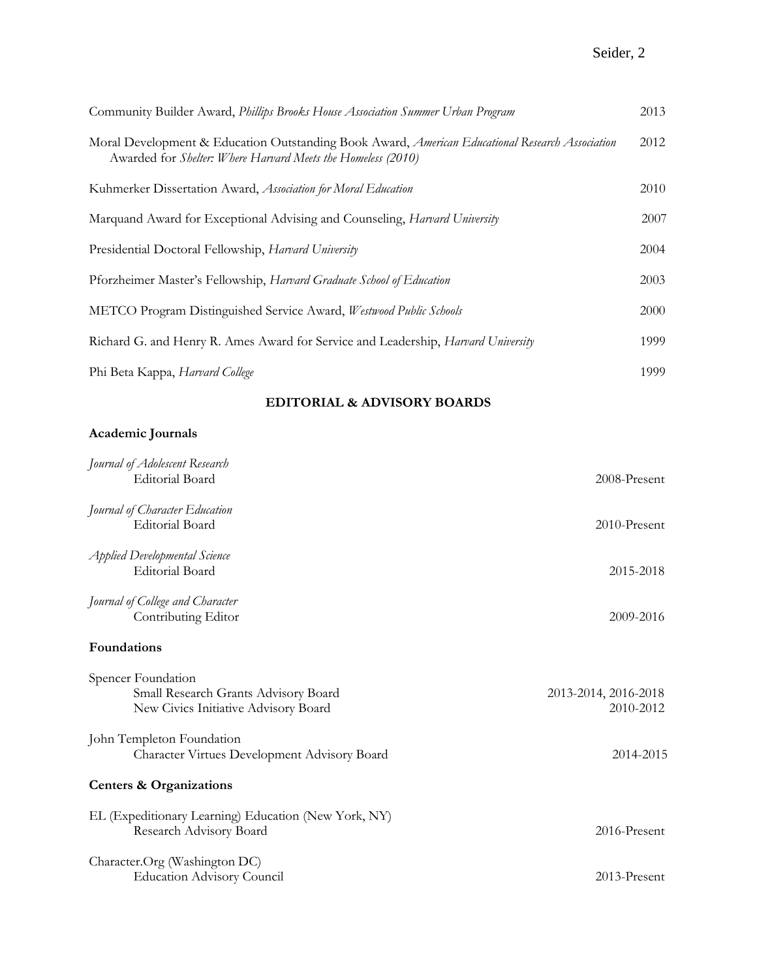# Seider, 2

| Community Builder Award, Phillips Brooks House Association Summer Urban Program                                                                                 | 2013 |
|-----------------------------------------------------------------------------------------------------------------------------------------------------------------|------|
| Moral Development & Education Outstanding Book Award, American Educational Research Association<br>Awarded for Shelter: Where Harvard Meets the Homeless (2010) | 2012 |
| Kuhmerker Dissertation Award, Association for Moral Education                                                                                                   | 2010 |
| Marquand Award for Exceptional Advising and Counseling, Harvard University                                                                                      | 2007 |
| Presidential Doctoral Fellowship, Harvard University                                                                                                            | 2004 |
| Pforzheimer Master's Fellowship, Harvard Graduate School of Education                                                                                           | 2003 |
| METCO Program Distinguished Service Award, Westwood Public Schools                                                                                              | 2000 |
| Richard G. and Henry R. Ames Award for Service and Leadership, <i>Harvard University</i>                                                                        | 1999 |
| Phi Beta Kappa, Harvard College                                                                                                                                 | 1999 |

# **EDITORIAL & ADVISORY BOARDS**

# **Academic Journals**

| Journal of Adolescent Research<br><b>Editorial Board</b>                                           | 2008-Present                      |
|----------------------------------------------------------------------------------------------------|-----------------------------------|
| Journal of Character Education<br><b>Editorial Board</b>                                           | 2010-Present                      |
| <b>Applied Developmental Science</b><br><b>Editorial Board</b>                                     | 2015-2018                         |
| Journal of College and Character<br>Contributing Editor                                            | 2009-2016                         |
| Foundations                                                                                        |                                   |
| Spencer Foundation<br>Small Research Grants Advisory Board<br>New Civics Initiative Advisory Board | 2013-2014, 2016-2018<br>2010-2012 |
| John Templeton Foundation<br>Character Virtues Development Advisory Board                          | 2014-2015                         |
| <b>Centers &amp; Organizations</b>                                                                 |                                   |
| EL (Expeditionary Learning) Education (New York, NY)<br>Research Advisory Board                    | 2016-Present                      |
| Character.Org (Washington DC)<br><b>Education Advisory Council</b>                                 | 2013-Present                      |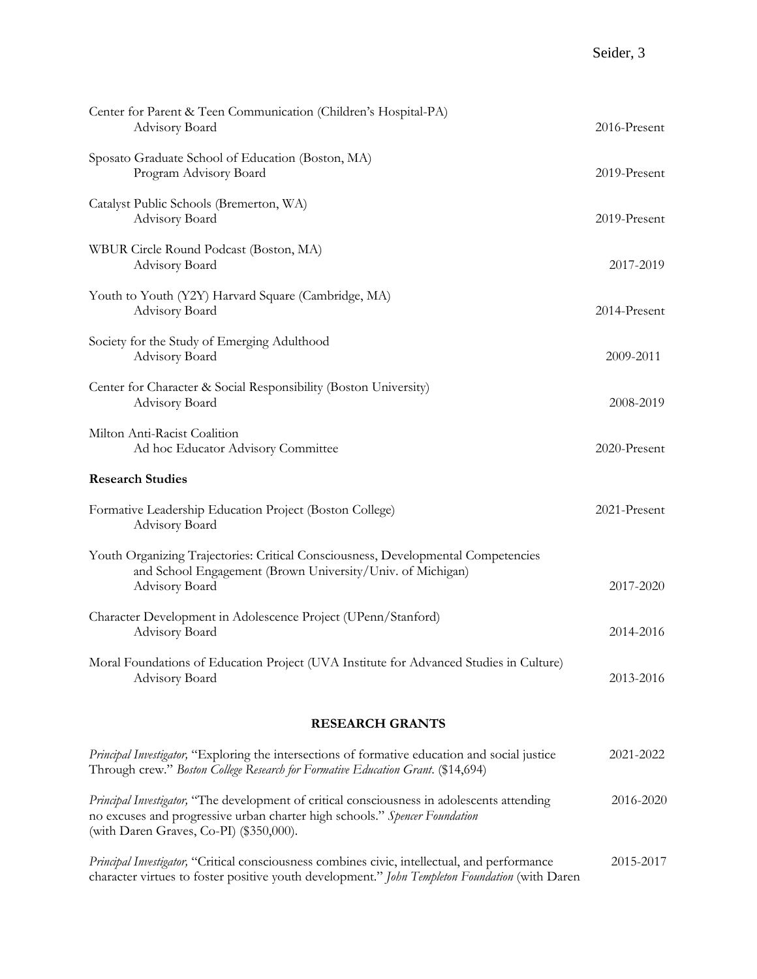| <b>RESEARCH GRANTS</b>                                                                                                                                            |              |  |
|-------------------------------------------------------------------------------------------------------------------------------------------------------------------|--------------|--|
| Moral Foundations of Education Project (UVA Institute for Advanced Studies in Culture)<br>Advisory Board                                                          | 2013-2016    |  |
| Character Development in Adolescence Project (UPenn/Stanford)<br>Advisory Board                                                                                   | 2014-2016    |  |
| Youth Organizing Trajectories: Critical Consciousness, Developmental Competencies<br>and School Engagement (Brown University/Univ. of Michigan)<br>Advisory Board | 2017-2020    |  |
| Formative Leadership Education Project (Boston College)<br>Advisory Board                                                                                         | 2021-Present |  |
| <b>Research Studies</b>                                                                                                                                           |              |  |
| Milton Anti-Racist Coalition<br>Ad hoc Educator Advisory Committee                                                                                                | 2020-Present |  |
| Center for Character & Social Responsibility (Boston University)<br>Advisory Board                                                                                | 2008-2019    |  |
| Society for the Study of Emerging Adulthood<br>Advisory Board                                                                                                     | 2009-2011    |  |
| Youth to Youth (Y2Y) Harvard Square (Cambridge, MA)<br>Advisory Board                                                                                             | 2014-Present |  |
| WBUR Circle Round Podcast (Boston, MA)<br>Advisory Board                                                                                                          | 2017-2019    |  |
| Catalyst Public Schools (Bremerton, WA)<br>Advisory Board                                                                                                         | 2019-Present |  |
| Sposato Graduate School of Education (Boston, MA)<br>Program Advisory Board                                                                                       | 2019-Present |  |
| Center for Parent & Teen Communication (Children's Hospital-PA)<br>Advisory Board                                                                                 | 2016-Present |  |

# *Principal Investigator,* "Exploring the intersections of formative education and social justice 2021-2022 Through crew." *Boston College Research for Formative Education Grant*. (\$14,694) *Principal Investigator,* "The development of critical consciousness in adolescents attending 2016-2020 no excuses and progressive urban charter high schools." *Spencer Foundation* (with Daren Graves, Co-PI) (\$350,000). *Principal Investigator,* "Critical consciousness combines civic, intellectual, and performance 2015-2017

character virtues to foster positive youth development." *John Templeton Foundation* (with Daren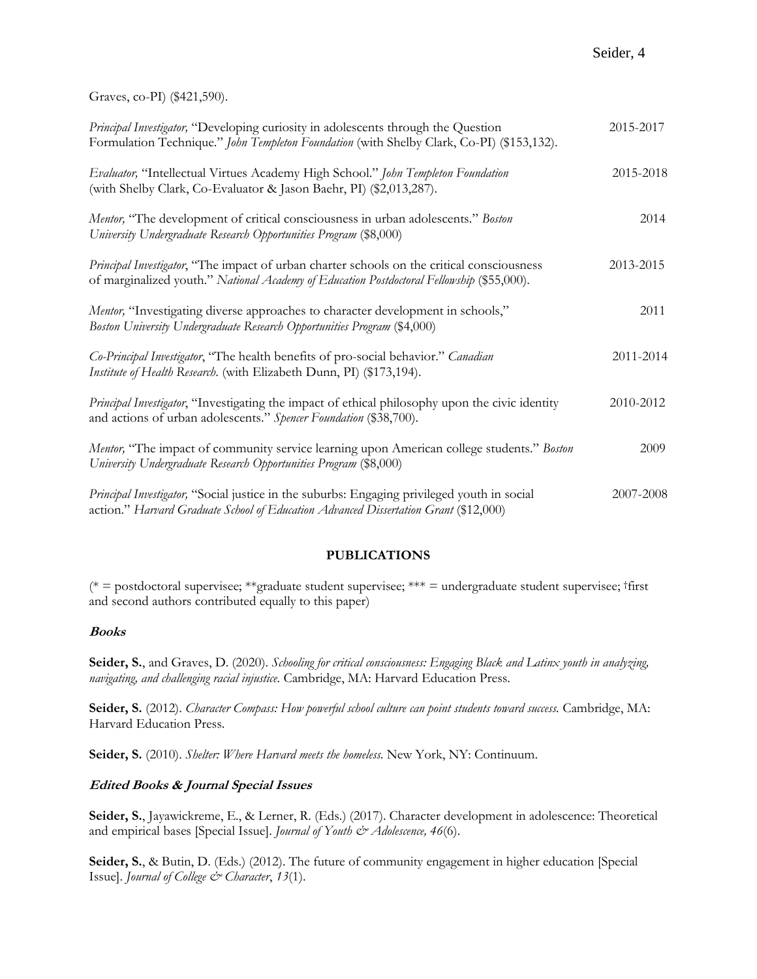Graves, co-PI) (\$421,590).

| Principal Investigator, "Developing curiosity in adolescents through the Question<br>Formulation Technique." John Templeton Foundation (with Shelby Clark, Co-PI) (\$153,132).          | 2015-2017 |
|-----------------------------------------------------------------------------------------------------------------------------------------------------------------------------------------|-----------|
| Evaluator, "Intellectual Virtues Academy High School." John Templeton Foundation<br>(with Shelby Clark, Co-Evaluator & Jason Baehr, PI) (\$2,013,287).                                  | 2015-2018 |
| Mentor, "The development of critical consciousness in urban adolescents." Boston<br>University Undergraduate Research Opportunities Program (\$8,000)                                   | 2014      |
| Principal Investigator, "The impact of urban charter schools on the critical consciousness<br>of marginalized youth." National Academy of Education Postdoctoral Fellowship (\$55,000). | 2013-2015 |
| Mentor, "Investigating diverse approaches to character development in schools,"<br>Boston University Undergraduate Research Opportunities Program (\$4,000)                             | 2011      |
| Co-Principal Investigator, "The health benefits of pro-social behavior." Canadian<br>Institute of Health Research. (with Elizabeth Dunn, PI) (\$173,194).                               | 2011-2014 |
| Principal Investigator, "Investigating the impact of ethical philosophy upon the civic identity<br>and actions of urban adolescents." Spencer Foundation (\$38,700).                    | 2010-2012 |
| Mentor, "The impact of community service learning upon American college students." Boston<br>University Undergraduate Research Opportunities Program (\$8,000)                          | 2009      |
| Principal Investigator, "Social justice in the suburbs: Engaging privileged youth in social<br>action." Harvard Graduate School of Education Advanced Dissertation Grant (\$12,000)     | 2007-2008 |

# **PUBLICATIONS**

( $* =$  postdoctoral supervisee;  $**$ graduate student supervisee;  $*** =$  undergraduate student supervisee; †first and second authors contributed equally to this paper)

# **Books**

**Seider, S.**, and Graves, D. (2020). *Schooling for critical consciousness: Engaging Black and Latinx youth in analyzing, navigating, and challenging racial injustice.* Cambridge, MA: Harvard Education Press.

**Seider, S.** (2012). *Character Compass: How powerful school culture can point students toward success.* Cambridge, MA: Harvard Education Press.

**Seider, S.** (2010). *Shelter: Where Harvard meets the homeless.* New York, NY: Continuum.

# **Edited Books & Journal Special Issues**

**Seider, S.**, Jayawickreme, E., & Lerner, R. (Eds.) (2017). Character development in adolescence: Theoretical and empirical bases [Special Issue]. *Journal of Youth & Adolescence, 46*(6).

**Seider, S.**, & Butin, D. (Eds.) (2012). The future of community engagement in higher education [Special Issue]. *Journal of College & Character*, *13*(1).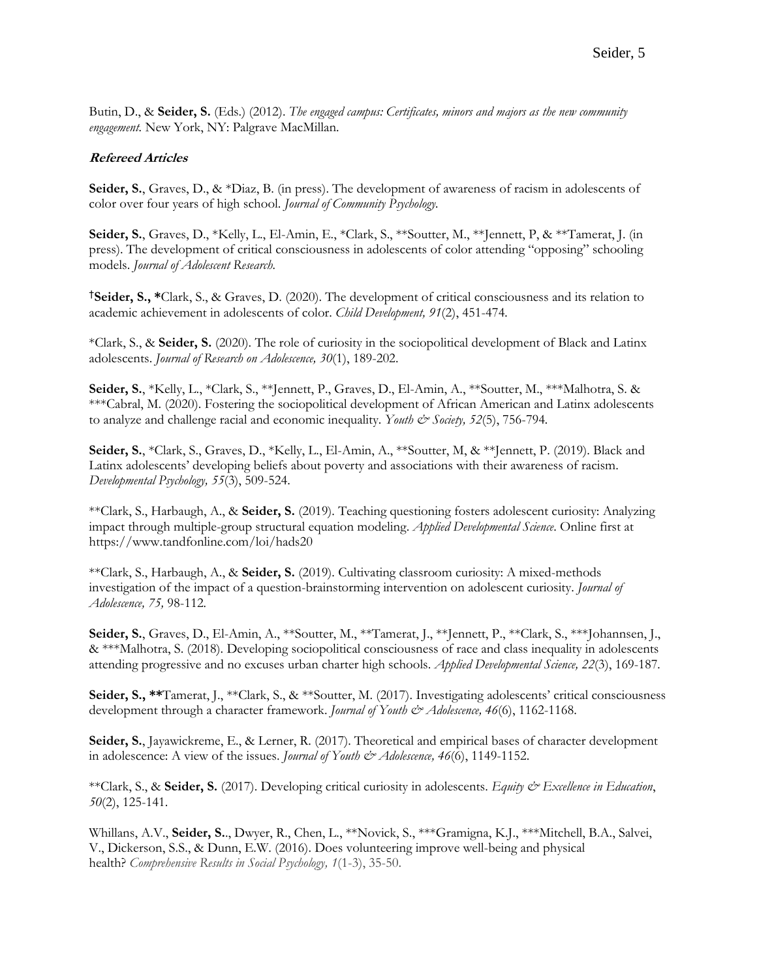Butin, D., & **Seider, S.** (Eds.) (2012). *The engaged campus: Certificates, minors and majors as the new community engagement.* New York, NY: Palgrave MacMillan.

### **Refereed Articles**

**Seider, S.**, Graves, D., & \*Diaz, B. (in press). The development of awareness of racism in adolescents of color over four years of high school. *Journal of Community Psychology.*

**Seider, S.**, Graves, D., \*Kelly, L., El-Amin, E., \*Clark, S., \*\*Soutter, M., \*\*Jennett, P, & \*\*Tamerat, J. (in press). The development of critical consciousness in adolescents of color attending "opposing" schooling models. *Journal of Adolescent Research.* 

†**Seider, S., \***Clark, S., & Graves, D. (2020). The development of critical consciousness and its relation to academic achievement in adolescents of color. *Child Development, 91*(2), 451-474*.*

\*Clark, S., & **Seider, S.** (2020). The role of curiosity in the sociopolitical development of Black and Latinx adolescents. *Journal of Research on Adolescence, 30*(1), 189-202.

**Seider, S.**, \*Kelly, L., \*Clark, S., \*\*Jennett, P., Graves, D., El-Amin, A., \*\*Soutter, M., \*\*\*Malhotra, S. & \*\*\*Cabral, M. (2020). Fostering the sociopolitical development of African American and Latinx adolescents to analyze and challenge racial and economic inequality. *Youth & Society*, 52(5), 756-794.

**Seider, S.**, \*Clark, S., Graves, D., \*Kelly, L., El-Amin, A., \*\*Soutter, M, & \*\*Jennett, P. (2019). Black and Latinx adolescents' developing beliefs about poverty and associations with their awareness of racism. *Developmental Psychology, 55*(3), 509-524.

\*\*Clark, S., Harbaugh, A., & **Seider, S.** (2019). Teaching questioning fosters adolescent curiosity: Analyzing impact through multiple-group structural equation modeling. *Applied Developmental Science*. Online first at https://www.tandfonline.com/loi/hads20

\*\*Clark, S., Harbaugh, A., & **Seider, S.** (2019). Cultivating classroom curiosity: A mixed-methods investigation of the impact of a question-brainstorming intervention on adolescent curiosity. *Journal of Adolescence, 75,* 98-112*.*

Seider, S., Graves, D., El-Amin, A., \*\*Soutter, M., \*\*Tamerat, J., \*\*Jennett, P., \*\*Clark, S., \*\*\*Johannsen, J., & \*\*\*Malhotra, S. (2018). Developing sociopolitical consciousness of race and class inequality in adolescents attending progressive and no excuses urban charter high schools. *Applied Developmental Science, 22*(3), 169-187*.* 

**Seider, S., \*\***Tamerat, J., \*\*Clark, S., & \*\*Soutter, M. (2017). Investigating adolescents' critical consciousness development through a character framework. *Journal of Youth & Adolescence*, 46(6), 1162-1168.

**Seider, S.**, Jayawickreme, E., & Lerner, R. (2017). Theoretical and empirical bases of character development in adolescence: A view of the issues. *Journal of Youth & Adolescence*, 46(6), 1149-1152.

\*\*Clark, S., & **Seider, S.** (2017). Developing critical curiosity in adolescents. *Equity & Excellence in Education*, *50*(2), 125-141.

Whillans, A.V., **Seider, S.**., Dwyer, R., Chen, L., \*\*Novick, S., \*\*\*Gramigna, K.J., \*\*\*Mitchell, B.A., Salvei, V., Dickerson, S.S., & Dunn, E.W. (2016). Does volunteering improve well-being and physical health? *Comprehensive Results in Social Psychology, 1*(1-3), 35-50.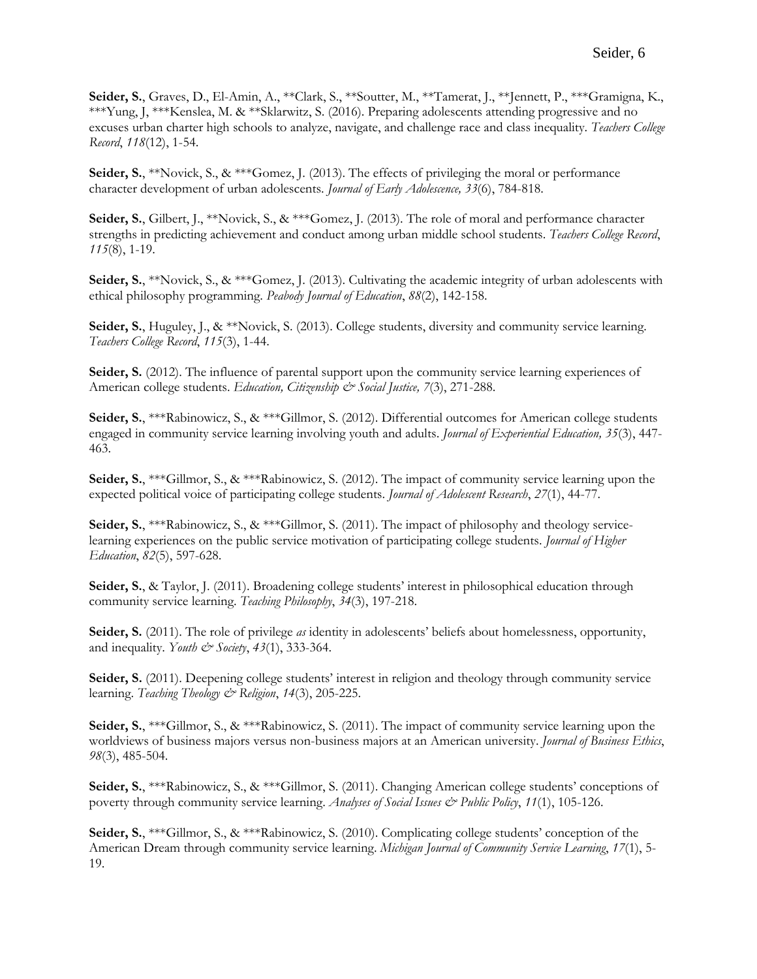**Seider, S.**, Graves, D., El-Amin, A., \*\*Clark, S., \*\*Soutter, M., \*\*Tamerat, J., \*\*Jennett, P., \*\*\*Gramigna, K., \*\*\*Yung, J, \*\*\*Kenslea, M. & \*\*Sklarwitz, S. (2016). Preparing adolescents attending progressive and no excuses urban charter high schools to analyze, navigate, and challenge race and class inequality. *Teachers College Record*, *118*(12), 1-54.

**Seider, S.**, \*\*Novick, S., & \*\*\*Gomez, J. (2013). The effects of privileging the moral or performance character development of urban adolescents. *Journal of Early Adolescence, 33*(6), 784-818.

**Seider, S.**, Gilbert, J., \*\*Novick, S., & \*\*\*Gomez, J. (2013). The role of moral and performance character strengths in predicting achievement and conduct among urban middle school students. *Teachers College Record*, *115*(8), 1-19.

**Seider, S.**, \*\*Novick, S., & \*\*\*Gomez, J. (2013). Cultivating the academic integrity of urban adolescents with ethical philosophy programming. *Peabody Journal of Education*, *88*(2), 142-158.

**Seider, S.**, Huguley, J., & \*\*Novick, S. (2013). College students, diversity and community service learning. *Teachers College Record*, *115*(3), 1-44.

**Seider, S.** (2012). The influence of parental support upon the community service learning experiences of American college students. *Education, Citizenship & Social Justice, 7(3)*, 271-288.

**Seider, S.**, \*\*\*Rabinowicz, S., & \*\*\*Gillmor, S. (2012). Differential outcomes for American college students engaged in community service learning involving youth and adults. *Journal of Experiential Education, 35*(3), 447- 463.

**Seider, S.**, \*\*\*Gillmor, S., & \*\*\*Rabinowicz, S. (2012). The impact of community service learning upon the expected political voice of participating college students. *Journal of Adolescent Research*, *27*(1), 44-77.

**Seider, S.**, \*\*\*Rabinowicz, S., & \*\*\*Gillmor, S. (2011). The impact of philosophy and theology servicelearning experiences on the public service motivation of participating college students. *Journal of Higher Education*, *82*(5), 597-628.

**Seider, S.**, & Taylor, J. (2011). Broadening college students' interest in philosophical education through community service learning. *Teaching Philosophy*, *34*(3), 197-218.

**Seider, S.** (2011). The role of privilege *as* identity in adolescents' beliefs about homelessness, opportunity, and inequality. *Youth & Society*, 43(1), 333-364.

**Seider, S.** (2011). Deepening college students' interest in religion and theology through community service learning. *Teaching Theology & Religion*, *14*(3), 205-225.

**Seider, S.,** \*\*\*Gillmor, S., & \*\*\*Rabinowicz, S. (2011). The impact of community service learning upon the worldviews of business majors versus non-business majors at an American university. *Journal of Business Ethics*, *98*(3), 485-504.

**Seider, S.**, \*\*\*Rabinowicz, S., & \*\*\*Gillmor, S. (2011). Changing American college students' conceptions of poverty through community service learning. *Analyses of Social Issues & Public Policy*, 11(1), 105-126.

**Seider, S.**, \*\*\*Gillmor, S., & \*\*\*Rabinowicz, S. (2010). Complicating college students' conception of the American Dream through community service learning. *Michigan Journal of Community Service Learning*, *17*(1), 5- 19.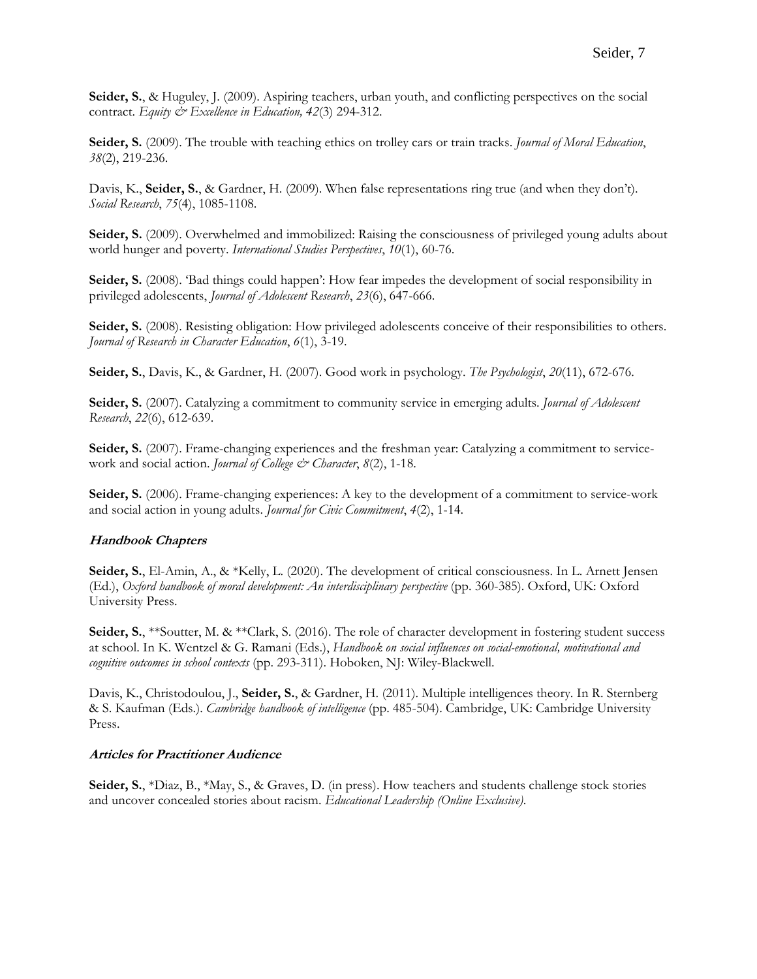**Seider, S.**, & Huguley, J. (2009). Aspiring teachers, urban youth, and conflicting perspectives on the social contract. *Equity & Excellence in Education, 42*(3) 294-312.

**Seider, S.** (2009). The trouble with teaching ethics on trolley cars or train tracks. *Journal of Moral Education*, *38*(2), 219-236.

Davis, K., **Seider, S.**, & Gardner, H. (2009). When false representations ring true (and when they don't). *Social Research*, *75*(4), 1085-1108.

**Seider, S.** (2009). Overwhelmed and immobilized: Raising the consciousness of privileged young adults about world hunger and poverty. *International Studies Perspectives*, *10*(1), 60-76.

Seider, S. (2008). 'Bad things could happen': How fear impedes the development of social responsibility in privileged adolescents, *Journal of Adolescent Research*, *23*(6), 647-666.

Seider, S. (2008). Resisting obligation: How privileged adolescents conceive of their responsibilities to others. *Journal of Research in Character Education*, *6*(1), 3-19.

**Seider, S.**, Davis, K., & Gardner, H. (2007). Good work in psychology. *The Psychologist*, *20*(11), 672-676.

**Seider, S.** (2007). Catalyzing a commitment to community service in emerging adults. *Journal of Adolescent Research*, *22*(6), 612-639.

**Seider, S.** (2007). Frame-changing experiences and the freshman year: Catalyzing a commitment to servicework and social action. *Journal of College & Character*, *8*(2), 1-18.

**Seider, S.** (2006). Frame-changing experiences: A key to the development of a commitment to service-work and social action in young adults. *Journal for Civic Commitment*, *4*(2), 1-14.

# **Handbook Chapters**

**Seider, S.**, El-Amin, A., & \*Kelly, L. (2020). The development of critical consciousness. In L. Arnett Jensen (Ed.), *Oxford handbook of moral development: An interdisciplinary perspective* (pp. 360-385). Oxford, UK: Oxford University Press.

**Seider, S.**, \*\*Soutter, M. & \*\*Clark, S. (2016). The role of character development in fostering student success at school. In K. Wentzel & G. Ramani (Eds.), *Handbook on social influences on social-emotional, motivational and cognitive outcomes in school contexts* (pp. 293-311). Hoboken, NJ: Wiley-Blackwell.

Davis, K., Christodoulou, J., **Seider, S.**, & Gardner, H. (2011). Multiple intelligences theory. In R. Sternberg & S. Kaufman (Eds.). *Cambridge handbook of intelligence* (pp. 485-504). Cambridge, UK: Cambridge University Press.

#### **Articles for Practitioner Audience**

**Seider, S.**, \*Diaz, B., \*May, S., & Graves, D. (in press). How teachers and students challenge stock stories and uncover concealed stories about racism. *Educational Leadership (Online Exclusive)*.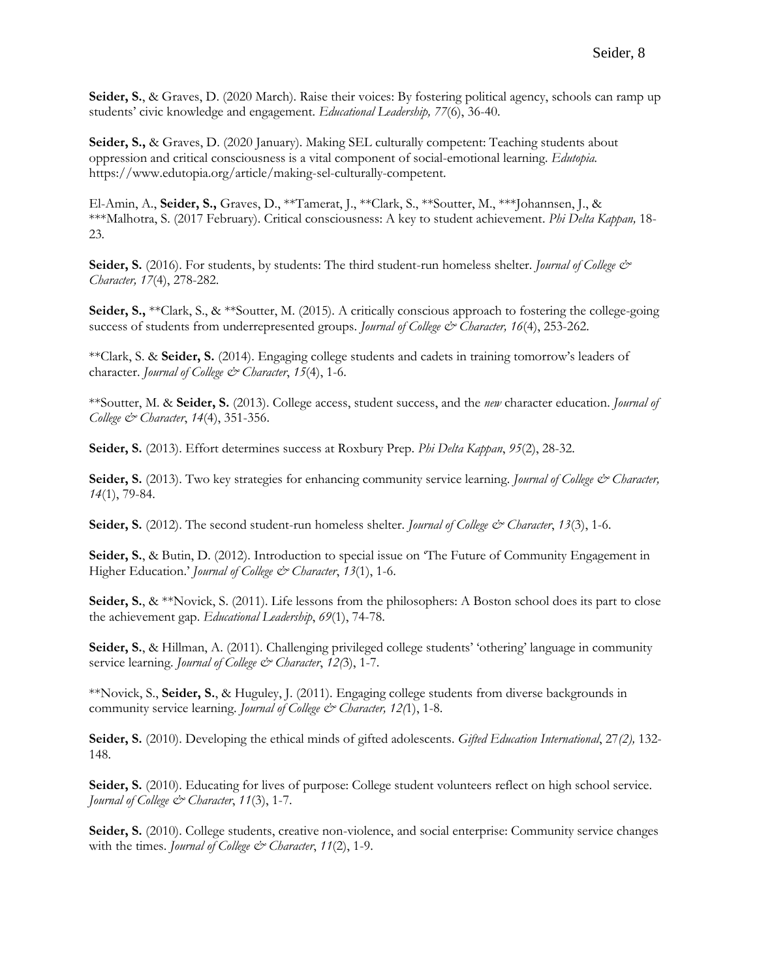**Seider, S.**, & Graves, D. (2020 March). Raise their voices: By fostering political agency, schools can ramp up students' civic knowledge and engagement. *Educational Leadership, 77*(6), 36-40.

**Seider, S.,** & Graves, D. (2020 January). Making SEL culturally competent: Teaching students about oppression and critical consciousness is a vital component of social-emotional learning. *Edutopia.* [https://www.edutopia.org/article/making-sel-culturally-competent.](https://www.edutopia.org/article/making-sel-culturally-competent)

El-Amin, A., **Seider, S.,** Graves, D., \*\*Tamerat, J., \*\*Clark, S., \*\*Soutter, M., \*\*\*Johannsen, J., & \*\*\*Malhotra, S. (2017 February). Critical consciousness: A key to student achievement. *Phi Delta Kappan,* 18- 23*.*

**Seider, S.** (2016). For students, by students: The third student-run homeless shelter. *Journal of College & Character, 17*(4), 278-282.

**Seider, S.,** \*\*Clark, S., & \*\*Soutter, M. (2015). A critically conscious approach to fostering the college-going success of students from underrepresented groups. *Journal of College & Character*, 16(4), 253-262.

\*\*Clark, S. & **Seider, S.** (2014). Engaging college students and cadets in training tomorrow's leaders of character. *Journal of College & Character*, 15(4), 1-6.

\*\*Soutter, M. & **Seider, S.** (2013). College access, student success, and the *new* character education. *Journal of College & Character*, *14*(4), 351-356.

**Seider, S.** (2013). Effort determines success at Roxbury Prep. *Phi Delta Kappan*, *95*(2), 28-32.

Seider, S. (2013). Two key strategies for enhancing community service learning. *Journal of College & Character*, *14*(1), 79-84.

**Seider, S.** (2012). The second student-run homeless shelter. *Journal of College & Character*, *13*(3), 1-6.

**Seider, S.**, & Butin, D. (2012). Introduction to special issue on 'The Future of Community Engagement in Higher Education.' *Journal of College & Character*, *13*(1), 1-6.

**Seider, S.**, & \*\*Novick, S. (2011). Life lessons from the philosophers: A Boston school does its part to close the achievement gap. *Educational Leadership*, *69*(1), 74-78.

**Seider, S.**, & Hillman, A. (2011). Challenging privileged college students' 'othering' language in community service learning. *Journal of College & Character*, 12(3), 1-7.

\*\*Novick, S., **Seider, S.**, & Huguley, J. (2011). Engaging college students from diverse backgrounds in community service learning. *Journal of College & Character*, 12(1), 1-8.

**Seider, S.** (2010). Developing the ethical minds of gifted adolescents. *Gifted Education International*, 27*(2),* 132- 148.

**Seider, S.** (2010). Educating for lives of purpose: College student volunteers reflect on high school service. *Journal of College & Character*, *11*(3), 1-7.

**Seider, S.** (2010). College students, creative non-violence, and social enterprise: Community service changes with the times. *Journal of College & Character*, 11(2), 1-9.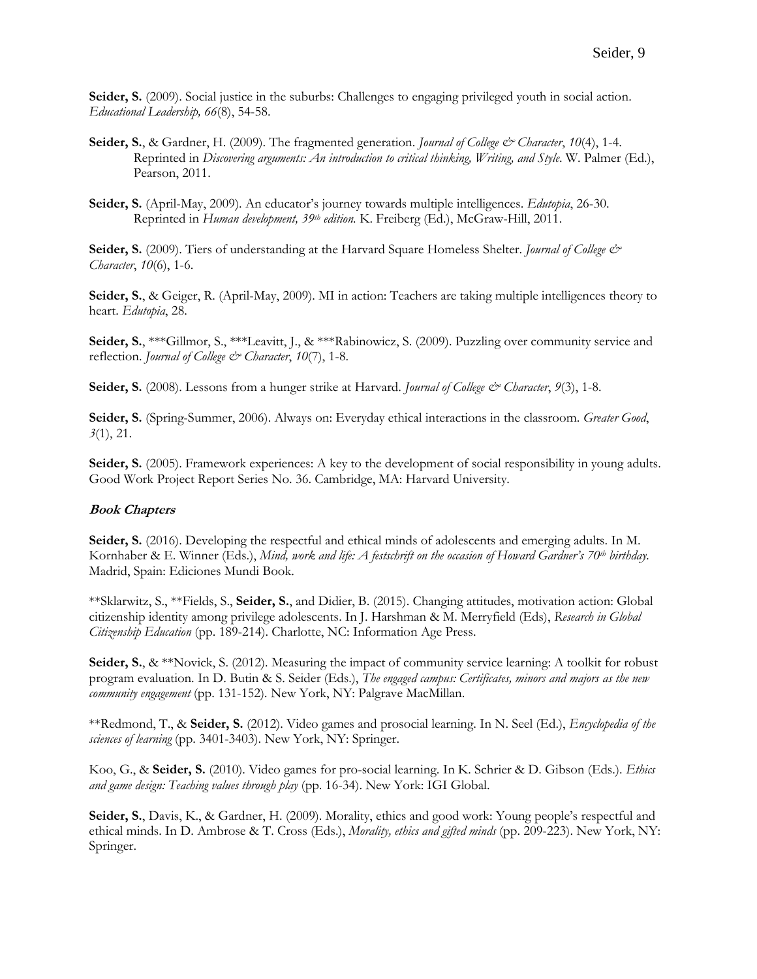**Seider, S.** (2009). Social justice in the suburbs: Challenges to engaging privileged youth in social action. *Educational Leadership, 66*(8), 54-58.

- **Seider, S.**, & Gardner, H. (2009). The fragmented generation. *Journal of College & Character*, *10*(4), 1-4. Reprinted in *Discovering arguments: An introduction to critical thinking, Writing, and Style*. W. Palmer (Ed.), Pearson, 2011.
- **Seider, S.** (April-May, 2009). An educator's journey towards multiple intelligences. *Edutopia*, 26-30. Reprinted in *Human development, 39th edition.* K. Freiberg (Ed.), McGraw-Hill, 2011.

**Seider, S.** (2009). Tiers of understanding at the Harvard Square Homeless Shelter. *Journal of College & Character*, *10*(6), 1-6.

**Seider, S.**, & Geiger, R. (April-May, 2009). MI in action: Teachers are taking multiple intelligences theory to heart. *Edutopia*, 28.

**Seider, S.**, \*\*\*Gillmor, S., \*\*\*Leavitt, J., & \*\*\*Rabinowicz, S. (2009). Puzzling over community service and reflection. *Journal of College & Character*, 10(7), 1-8.

**Seider, S.** (2008). Lessons from a hunger strike at Harvard. *Journal of College & Character*, *9*(3), 1-8.

**Seider, S.** (Spring-Summer, 2006). Always on: Everyday ethical interactions in the classroom. *Greater Good*, *3*(1), 21.

**Seider, S.** (2005). Framework experiences: A key to the development of social responsibility in young adults. Good Work Project Report Series No. 36. Cambridge, MA: Harvard University.

#### **Book Chapters**

**Seider, S.** (2016). Developing the respectful and ethical minds of adolescents and emerging adults. In M. Kornhaber & E. Winner (Eds.), *Mind, work and life: A festschrift on the occasion of Howard Gardner's 70th birthday.*  Madrid, Spain: Ediciones Mundi Book.

\*\*Sklarwitz, S., \*\*Fields, S., **Seider, S.**, and Didier, B. (2015). Changing attitudes, motivation action: Global citizenship identity among privilege adolescents. In J. Harshman & M. Merryfield (Eds), *Research in Global Citizenship Education* (pp. 189-214). Charlotte, NC: Information Age Press.

**Seider, S.**, & \*\*Novick, S. (2012). Measuring the impact of community service learning: A toolkit for robust program evaluation. In D. Butin & S. Seider (Eds.), *The engaged campus: Certificates, minors and majors as the new community engagement* (pp. 131-152)*.* New York, NY: Palgrave MacMillan.

\*\*Redmond, T., & **Seider, S.** (2012). Video games and prosocial learning. In N. Seel (Ed.), *Encyclopedia of the sciences of learning* (pp. 3401-3403). New York, NY: Springer.

Koo, G., & **Seider, S.** (2010). Video games for pro-social learning. In K. Schrier & D. Gibson (Eds.). *Ethics and game design: Teaching values through play* (pp. 16-34). New York: IGI Global.

**Seider, S.**, Davis, K., & Gardner, H. (2009). Morality, ethics and good work: Young people's respectful and ethical minds. In D. Ambrose & T. Cross (Eds.), *Morality, ethics and gifted minds* (pp. 209-223). New York, NY: Springer.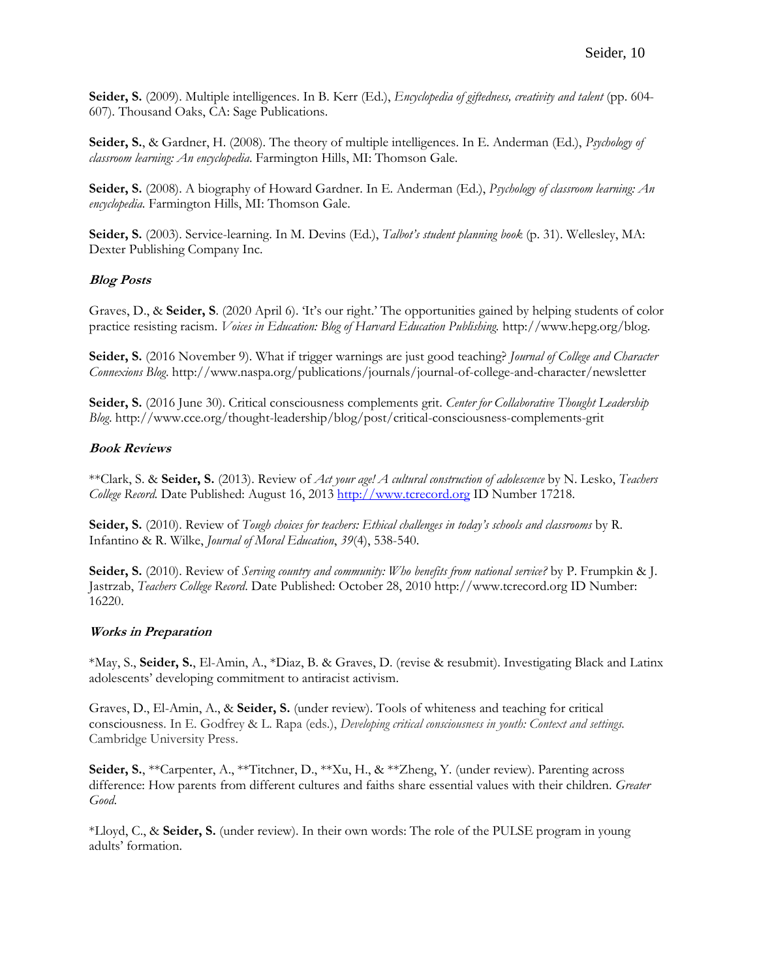**Seider, S.** (2009). Multiple intelligences. In B. Kerr (Ed.), *Encyclopedia of giftedness, creativity and talent* (pp. 604- 607)*.* Thousand Oaks, CA: Sage Publications.

**Seider, S.**, & Gardner, H. (2008). The theory of multiple intelligences. In E. Anderman (Ed.), *Psychology of classroom learning: An encyclopedia*. Farmington Hills, MI: Thomson Gale.

**Seider, S.** (2008). A biography of Howard Gardner. In E. Anderman (Ed.), *Psychology of classroom learning: An encyclopedia*. Farmington Hills, MI: Thomson Gale.

**Seider, S.** (2003). Service-learning. In M. Devins (Ed.), *Talbot's student planning book* (p. 31). Wellesley, MA: Dexter Publishing Company Inc.

# **Blog Posts**

Graves, D., & **Seider, S**. (2020 April 6). 'It's our right.' The opportunities gained by helping students of color practice resisting racism. *Voices in Education: Blog of Harvard Education Publishing.* http://www.hepg.org/blog.

**Seider, S.** (2016 November 9). What if trigger warnings are just good teaching? *Journal of College and Character Connexions Blog*. http://www.naspa.org/publications/journals/journal-of-college-and-character/newsletter

**Seider, S.** (2016 June 30). Critical consciousness complements grit. *Center for Collaborative Thought Leadership Blog*. http://www.cce.org/thought-leadership/blog/post/critical-consciousness-complements-grit

# **Book Reviews**

\*\*Clark, S. & **Seider, S.** (2013). Review of *Act your age! A cultural construction of adolescence* by N. Lesko, *Teachers College Record.* Date Published: August 16, 201[3 http://www.tcrecord.org](http://www.tcrecord.org/) ID Number 17218.

**Seider, S.** (2010). Review of *Tough choices for teachers: Ethical challenges in today's schools and classrooms* by R. Infantino & R. Wilke, *Journal of Moral Education*, *39*(4), 538-540.

**Seider, S.** (2010). Review of *Serving country and community: Who benefits from national service?* by P. Frumpkin & J. Jastrzab, *Teachers College Record*. Date Published: October 28, 2010 [http://www.tcrecord.org](http://www.tcrecord.org/) ID Number: 16220.

# **Works in Preparation**

\*May, S., **Seider, S.**, El-Amin, A., \*Diaz, B. & Graves, D. (revise & resubmit). Investigating Black and Latinx adolescents' developing commitment to antiracist activism.

Graves, D., El-Amin, A., & **Seider, S.** (under review). Tools of whiteness and teaching for critical consciousness. In E. Godfrey & L. Rapa (eds.), *Developing critical consciousness in youth: Context and settings.*  Cambridge University Press.

**Seider, S.**, \*\*Carpenter, A., \*\*Titchner, D., \*\*Xu, H., & \*\*Zheng, Y. (under review). Parenting across difference: How parents from different cultures and faiths share essential values with their children. *Greater Good*.

\*Lloyd, C., & **Seider, S.** (under review). In their own words: The role of the PULSE program in young adults' formation.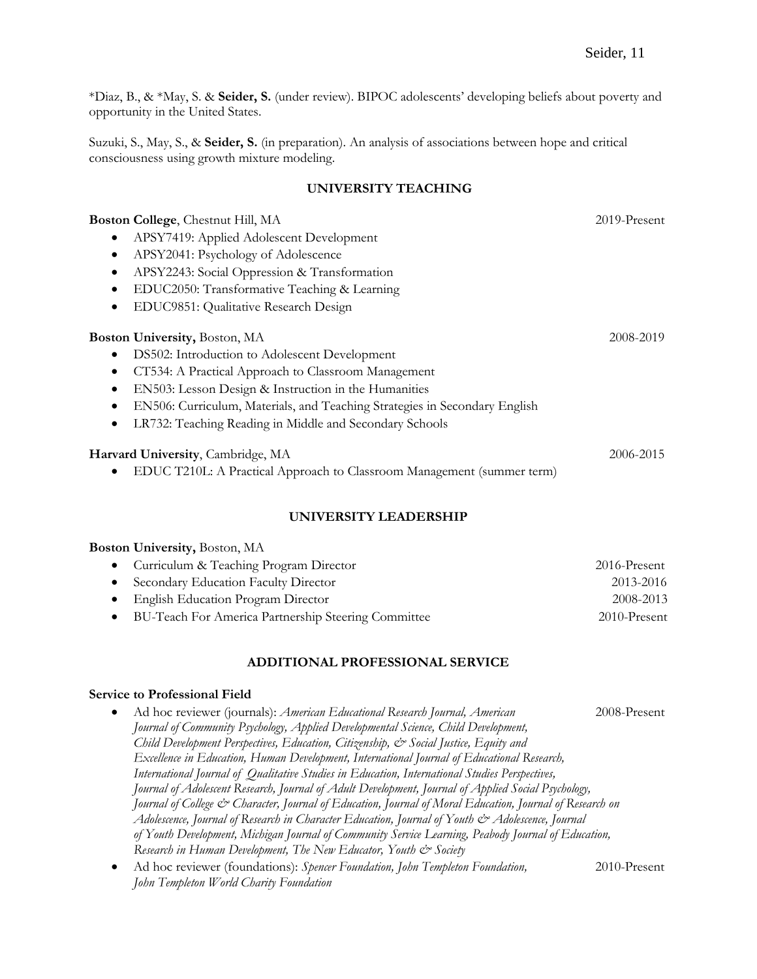\*Diaz, B., & \*May, S. & **Seider, S.** (under review). BIPOC adolescents' developing beliefs about poverty and opportunity in the United States.

Suzuki, S., May, S., & **Seider, S.** (in preparation). An analysis of associations between hope and critical consciousness using growth mixture modeling.

### **UNIVERSITY TEACHING**

| Boston College, Chestnut Hill, MA                                                       | $2019$ -Present |
|-----------------------------------------------------------------------------------------|-----------------|
| APSY7419: Applied Adolescent Development                                                |                 |
| APSY2041: Psychology of Adolescence<br>$\bullet$                                        |                 |
| APSY2243: Social Oppression & Transformation<br>$\bullet$                               |                 |
| EDUC2050: Transformative Teaching & Learning<br>$\bullet$                               |                 |
| EDUC9851: Qualitative Research Design<br>$\bullet$                                      |                 |
| <b>Boston University, Boston, MA</b>                                                    | 2008-2019       |
| DS502: Introduction to Adolescent Development<br>٠                                      |                 |
| CT534: A Practical Approach to Classroom Management<br>$\bullet$                        |                 |
| EN503: Lesson Design & Instruction in the Humanities                                    |                 |
| EN506: Curriculum, Materials, and Teaching Strategies in Secondary English<br>$\bullet$ |                 |
| LR732: Teaching Reading in Middle and Secondary Schools<br>$\bullet$                    |                 |
| Harvard University, Cambridge, MA                                                       | 2006-2015       |
| EDUC T210L: A Practical Approach to Classroom Management (summer term)                  |                 |
|                                                                                         |                 |

# **UNIVERSITY LEADERSHIP**

|  | Boston University, Boston, MA |  |  |
|--|-------------------------------|--|--|
|--|-------------------------------|--|--|

| • Curriculum & Teaching Program Director              | 2016-Present    |
|-------------------------------------------------------|-----------------|
| • Secondary Education Faculty Director                | 2013-2016       |
| • English Education Program Director                  | 2008-2013       |
| • BU-Teach For America Partnership Steering Committee | $2010$ -Present |

#### **ADDITIONAL PROFESSIONAL SERVICE**

#### **Service to Professional Field**

- Ad hoc reviewer (journals): *American Educational Research Journal, American* 2008-Present *Journal of Community Psychology, Applied Developmental Science, Child Development, Child Development Perspectives, Education, Citizenship, & Social Justice, Equity and Excellence in Education, Human Development, International Journal of Educational Research, International Journal of Qualitative Studies in Education, International Studies Perspectives, Journal of Adolescent Research, Journal of Adult Development, Journal of Applied Social Psychology, Journal of College & Character, Journal of Education, Journal of Moral Education, Journal of Research on Adolescence, Journal of Research in Character Education, Journal of Youth & Adolescence, Journal of Youth Development, Michigan Journal of Community Service Learning, Peabody Journal of Education, Research in Human Development, The New Educator, Youth & Society*
- Ad hoc reviewer (foundations): *Spencer Foundation, John Templeton Foundation,* 2010-Present *John Templeton World Charity Foundation*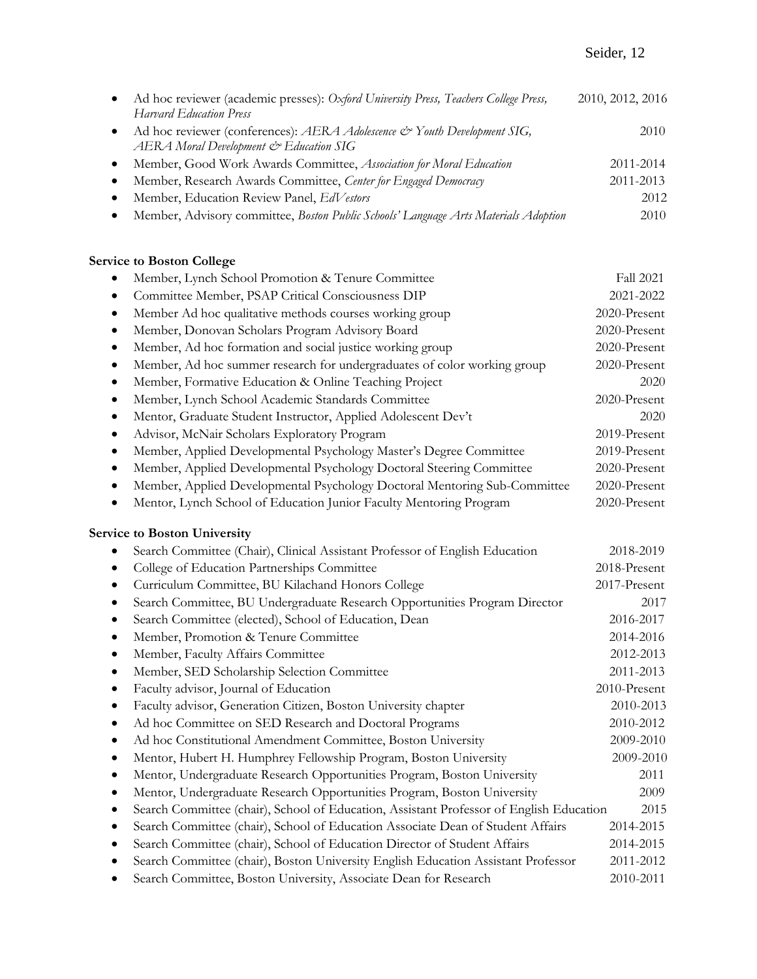# Seider, 12

|           | Ad hoc reviewer (academic presses): Oxford University Press, Teachers College Press,<br>Harvard Education Press    | 2010, 2012, 2016 |
|-----------|--------------------------------------------------------------------------------------------------------------------|------------------|
| $\bullet$ | Ad hoc reviewer (conferences): AERA Adolescence & Youth Development SIG,<br>AERA Moral Development & Education SIG | 2010             |
| $\bullet$ | Member, Good Work Awards Committee, Association for Moral Education                                                | 2011-2014        |
|           | Member, Research Awards Committee, Center for Engaged Democracy                                                    | 2011-2013        |
|           | Member, Education Review Panel, EdVestors                                                                          | 2012             |
|           | Member, Advisory committee, Boston Public Schools' Language Arts Materials Adoption                                | 2010             |

# **Service to Boston College**

| Member, Lynch School Promotion & Tenure Committee<br>$\bullet$                                       | <b>Fall 2021</b> |
|------------------------------------------------------------------------------------------------------|------------------|
| Committee Member, PSAP Critical Consciousness DIP<br>$\bullet$                                       | 2021-2022        |
| Member Ad hoc qualitative methods courses working group<br>$\bullet$                                 | 2020-Present     |
| Member, Donovan Scholars Program Advisory Board<br>$\bullet$                                         | 2020-Present     |
| Member, Ad hoc formation and social justice working group<br>$\bullet$                               | 2020-Present     |
| Member, Ad hoc summer research for undergraduates of color working group<br>$\bullet$                | 2020-Present     |
| Member, Formative Education & Online Teaching Project<br>$\bullet$                                   | 2020             |
| Member, Lynch School Academic Standards Committee<br>$\bullet$                                       | 2020-Present     |
| Mentor, Graduate Student Instructor, Applied Adolescent Dev't<br>$\bullet$                           | 2020             |
| Advisor, McNair Scholars Exploratory Program<br>$\bullet$                                            | 2019-Present     |
| Member, Applied Developmental Psychology Master's Degree Committee<br>$\bullet$                      | 2019-Present     |
| Member, Applied Developmental Psychology Doctoral Steering Committee<br>$\bullet$                    | 2020-Present     |
| Member, Applied Developmental Psychology Doctoral Mentoring Sub-Committee<br>$\bullet$               | 2020-Present     |
| Mentor, Lynch School of Education Junior Faculty Mentoring Program<br>$\bullet$                      | 2020-Present     |
| <b>Service to Boston University</b>                                                                  |                  |
| Search Committee (Chair), Clinical Assistant Professor of English Education<br>$\bullet$             | 2018-2019        |
| College of Education Partnerships Committee<br>$\bullet$                                             | 2018-Present     |
| Curriculum Committee, BU Kilachand Honors College<br>$\bullet$                                       | 2017-Present     |
| Search Committee, BU Undergraduate Research Opportunities Program Director<br>$\bullet$              | 2017             |
| Search Committee (elected), School of Education, Dean<br>$\bullet$                                   | 2016-2017        |
| Member, Promotion & Tenure Committee<br>$\bullet$                                                    | 2014-2016        |
| Member, Faculty Affairs Committee<br>$\bullet$                                                       | 2012-2013        |
| Member, SED Scholarship Selection Committee<br>$\bullet$                                             | 2011-2013        |
| Faculty advisor, Journal of Education<br>$\bullet$                                                   | 2010-Present     |
| Faculty advisor, Generation Citizen, Boston University chapter<br>$\bullet$                          | 2010-2013        |
| Ad hoc Committee on SED Research and Doctoral Programs<br>$\bullet$                                  | 2010-2012        |
| Ad hoc Constitutional Amendment Committee, Boston University<br>$\bullet$                            | 2009-2010        |
| Mentor, Hubert H. Humphrey Fellowship Program, Boston University<br>$\bullet$                        | 2009-2010        |
| Mentor, Undergraduate Research Opportunities Program, Boston University<br>$\bullet$                 | 2011             |
| Mentor, Undergraduate Research Opportunities Program, Boston University<br>$\bullet$                 | 2009             |
| Search Committee (chair), School of Education, Assistant Professor of English Education<br>$\bullet$ | 2015             |
| Search Committee (chair), School of Education Associate Dean of Student Affairs<br>٠                 | 2014-2015        |
| Search Committee (chair), School of Education Director of Student Affairs<br>$\bullet$               | 2014-2015        |
| Search Committee (chair), Boston University English Education Assistant Professor<br>$\bullet$       | 2011-2012        |
| Search Committee, Boston University, Associate Dean for Research<br>$\bullet$                        | 2010-2011        |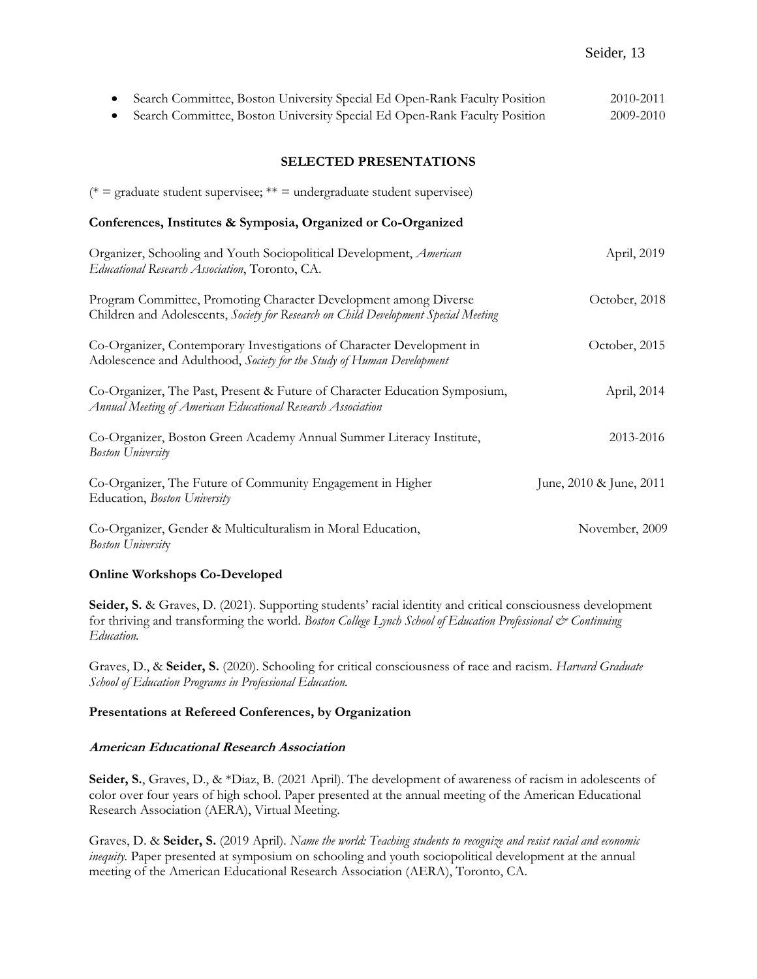| Search Committee, Boston University Special Ed Open-Rank Faculty Position<br>$\bullet$                                                                  | 2010-2011               |
|---------------------------------------------------------------------------------------------------------------------------------------------------------|-------------------------|
| Search Committee, Boston University Special Ed Open-Rank Faculty Position                                                                               | 2009-2010               |
| <b>SELECTED PRESENTATIONS</b>                                                                                                                           |                         |
| (* = graduate student supervisee; ** = undergraduate student supervisee)                                                                                |                         |
| Conferences, Institutes & Symposia, Organized or Co-Organized                                                                                           |                         |
| Organizer, Schooling and Youth Sociopolitical Development, American<br>Educational Research Association, Toronto, CA.                                   | April, 2019             |
| Program Committee, Promoting Character Development among Diverse<br>Children and Adolescents, Society for Research on Child Development Special Meeting | October, 2018           |
| Co-Organizer, Contemporary Investigations of Character Development in<br>Adolescence and Adulthood, Society for the Study of Human Development          | October, 2015           |
| Co-Organizer, The Past, Present & Future of Character Education Symposium,<br>Annual Meeting of American Educational Research Association               | April, 2014             |
| Co-Organizer, Boston Green Academy Annual Summer Literacy Institute,<br><b>Boston University</b>                                                        | 2013-2016               |
| Co-Organizer, The Future of Community Engagement in Higher<br>Education, Boston University                                                              | June, 2010 & June, 2011 |
| Co-Organizer, Gender & Multiculturalism in Moral Education,<br><b>Boston University</b>                                                                 | November, 2009          |

# **Online Workshops Co-Developed**

**Seider, S.** & Graves, D. (2021). Supporting students' racial identity and critical consciousness development for thriving and transforming the world. *Boston College Lynch School of Education Professional & Continuing Education.*

Graves, D., & **Seider, S.** (2020). Schooling for critical consciousness of race and racism. *Harvard Graduate School of Education Programs in Professional Education.*

# **Presentations at Refereed Conferences, by Organization**

#### **American Educational Research Association**

**Seider, S.**, Graves, D., & \*Diaz, B. (2021 April). The development of awareness of racism in adolescents of color over four years of high school. Paper presented at the annual meeting of the American Educational Research Association (AERA), Virtual Meeting.

Graves, D. & **Seider, S.** (2019 April). *Name the world: Teaching students to recognize and resist racial and economic inequity.* Paper presented at symposium on schooling and youth sociopolitical development at the annual meeting of the American Educational Research Association (AERA), Toronto, CA.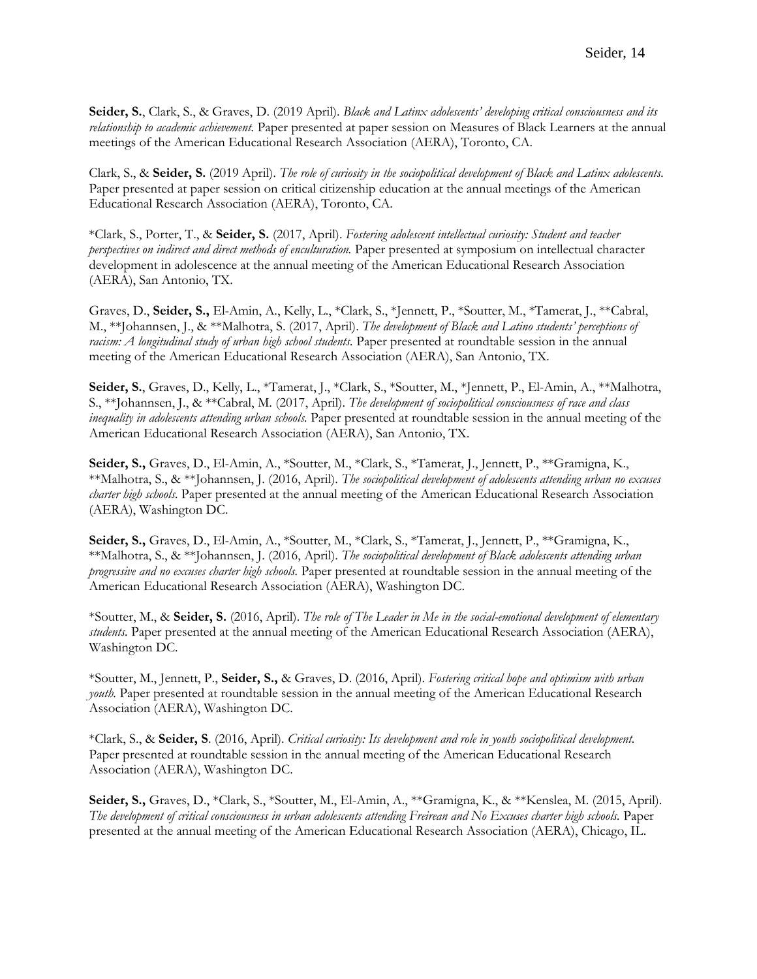**Seider, S.**, Clark, S., & Graves, D. (2019 April). *Black and Latinx adolescents' developing critical consciousness and its relationship to academic achievement.* Paper presented at paper session on Measures of Black Learners at the annual meetings of the American Educational Research Association (AERA), Toronto, CA.

Clark, S., & **Seider, S.** (2019 April). *The role of curiosity in the sociopolitical development of Black and Latinx adolescents.* Paper presented at paper session on critical citizenship education at the annual meetings of the American Educational Research Association (AERA), Toronto, CA.

\*Clark, S., Porter, T., & **Seider, S.** (2017, April). *Fostering adolescent intellectual curiosity: Student and teacher perspectives on indirect and direct methods of enculturation*. Paper presented at symposium on intellectual character development in adolescence at the annual meeting of the American Educational Research Association (AERA), San Antonio, TX.

Graves, D., **Seider, S.,** El-Amin, A., Kelly, L., \*Clark, S., \*Jennett, P., \*Soutter, M., \*Tamerat, J., \*\*Cabral, M., \*\*Johannsen, J., & \*\*Malhotra, S. (2017, April). *The development of Black and Latino students' perceptions of racism: A longitudinal study of urban high school students.* Paper presented at roundtable session in the annual meeting of the American Educational Research Association (AERA), San Antonio, TX.

**Seider, S.**, Graves, D., Kelly, L., \*Tamerat, J., \*Clark, S., \*Soutter, M., \*Jennett, P., El-Amin, A., \*\*Malhotra, S., \*\*Johannsen, J., & \*\*Cabral, M. (2017, April). *The development of sociopolitical consciousness of race and class inequality in adolescents attending urban schools.* Paper presented at roundtable session in the annual meeting of the American Educational Research Association (AERA), San Antonio, TX.

**Seider, S.,** Graves, D., El-Amin, A., \*Soutter, M., \*Clark, S., \*Tamerat, J., Jennett, P., \*\*Gramigna, K., \*\*Malhotra, S., & \*\*Johannsen, J. (2016, April). *The sociopolitical development of adolescents attending urban no excuses charter high schools.* Paper presented at the annual meeting of the American Educational Research Association (AERA), Washington DC.

**Seider, S.,** Graves, D., El-Amin, A., \*Soutter, M., \*Clark, S., \*Tamerat, J., Jennett, P., \*\*Gramigna, K., \*\*Malhotra, S., & \*\*Johannsen, J. (2016, April). *The sociopolitical development of Black adolescents attending urban progressive and no excuses charter high schools.* Paper presented at roundtable session in the annual meeting of the American Educational Research Association (AERA), Washington DC.

\*Soutter, M., & **Seider, S.** (2016, April). *The role of The Leader in Me in the social-emotional development of elementary students.* Paper presented at the annual meeting of the American Educational Research Association (AERA), Washington DC.

\*Soutter, M., Jennett, P., **Seider, S.,** & Graves, D. (2016, April). *Fostering critical hope and optimism with urban youth.* Paper presented at roundtable session in the annual meeting of the American Educational Research Association (AERA), Washington DC.

\*Clark, S., & **Seider, S**. (2016, April). *Critical curiosity: Its development and role in youth sociopolitical development.* Paper presented at roundtable session in the annual meeting of the American Educational Research Association (AERA), Washington DC.

**Seider, S.,** Graves, D., \*Clark, S., \*Soutter, M., El-Amin, A., \*\*Gramigna, K., & \*\*Kenslea, M. (2015, April). *The development of critical consciousness in urban adolescents attending Freirean and No Excuses charter high schools.* Paper presented at the annual meeting of the American Educational Research Association (AERA), Chicago, IL.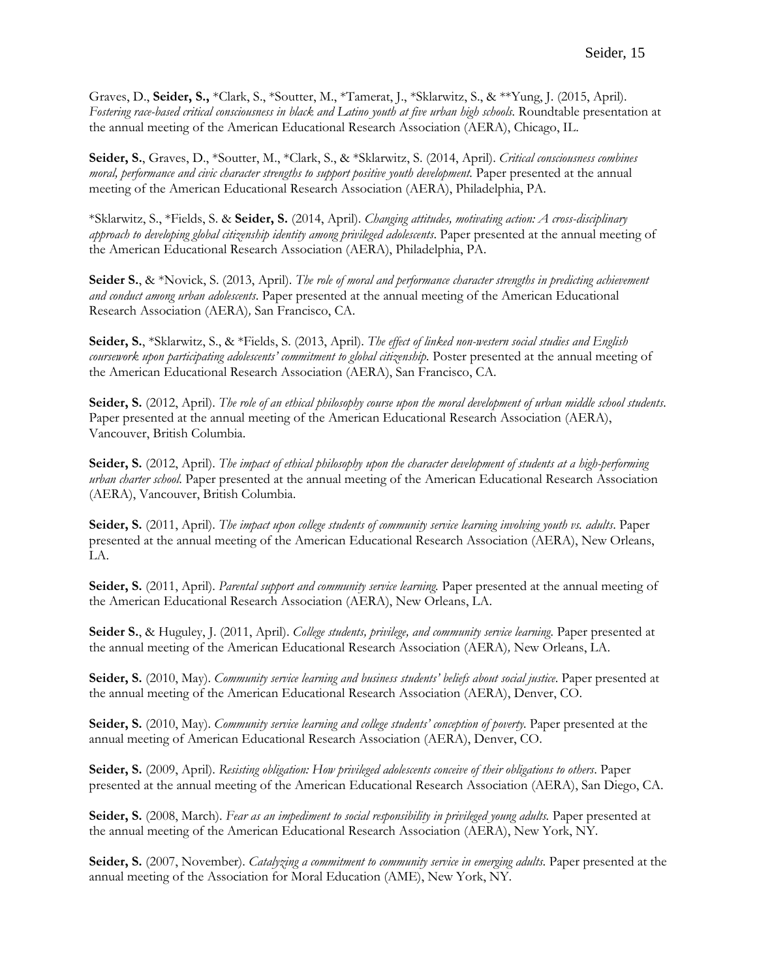Graves, D., **Seider, S.,** \*Clark, S., \*Soutter, M., \*Tamerat, J., \*Sklarwitz, S., & \*\*Yung, J. (2015, April). *Fostering race-based critical consciousness in black and Latino youth at five urban high schools.* Roundtable presentation at the annual meeting of the American Educational Research Association (AERA), Chicago, IL.

**Seider, S.**, Graves, D., \*Soutter, M., \*Clark, S., & \*Sklarwitz, S. (2014, April). *Critical consciousness combines moral, performance and civic character strengths to support positive youth development.* Paper presented at the annual meeting of the American Educational Research Association (AERA), Philadelphia, PA.

\*Sklarwitz, S., \*Fields, S. & **Seider, S.** (2014, April). *Changing attitudes, motivating action: A cross-disciplinary approach to developing global citizenship identity among privileged adolescents*. Paper presented at the annual meeting of the American Educational Research Association (AERA), Philadelphia, PA.

**Seider S.**, & \*Novick, S. (2013, April). *The role of moral and performance character strengths in predicting achievement and conduct among urban adolescents*. Paper presented at the annual meeting of the American Educational Research Association (AERA)*,* San Francisco, CA.

**Seider, S.**, \*Sklarwitz, S., & \*Fields, S. (2013, April). *The effect of linked non-western social studies and English coursework upon participating adolescents' commitment to global citizenship.* Poster presented at the annual meeting of the American Educational Research Association (AERA), San Francisco, CA.

**Seider, S.** (2012, April). *The role of an ethical philosophy course upon the moral development of urban middle school students.*  Paper presented at the annual meeting of the American Educational Research Association (AERA), Vancouver, British Columbia.

**Seider, S.** (2012, April). *The impact of ethical philosophy upon the character development of students at a high-performing urban charter school*. Paper presented at the annual meeting of the American Educational Research Association (AERA), Vancouver, British Columbia.

**Seider, S.** (2011, April). *The impact upon college students of community service learning involving youth vs. adults*. Paper presented at the annual meeting of the American Educational Research Association (AERA), New Orleans, LA.

**Seider, S.** (2011, April). *Parental support and community service learning.* Paper presented at the annual meeting of the American Educational Research Association (AERA), New Orleans, LA.

**Seider S.**, & Huguley, J. (2011, April). *College students, privilege, and community service learning.* Paper presented at the annual meeting of the American Educational Research Association (AERA)*,* New Orleans, LA.

**Seider, S.** (2010, May). *Community service learning and business students' beliefs about social justice*. Paper presented at the annual meeting of the American Educational Research Association (AERA), Denver, CO.

**Seider, S.** (2010, May). *Community service learning and college students' conception of poverty.* Paper presented at the annual meeting of American Educational Research Association (AERA), Denver, CO.

**Seider, S.** (2009, April). *Resisting obligation: How privileged adolescents conceive of their obligations to others*. Paper presented at the annual meeting of the American Educational Research Association (AERA), San Diego, CA.

**Seider, S.** (2008, March). *Fear as an impediment to social responsibility in privileged young adults.* Paper presented at the annual meeting of the American Educational Research Association (AERA), New York, NY.

**Seider, S.** (2007, November). *Catalyzing a commitment to community service in emerging adults*. Paper presented at the annual meeting of the Association for Moral Education (AME), New York, NY.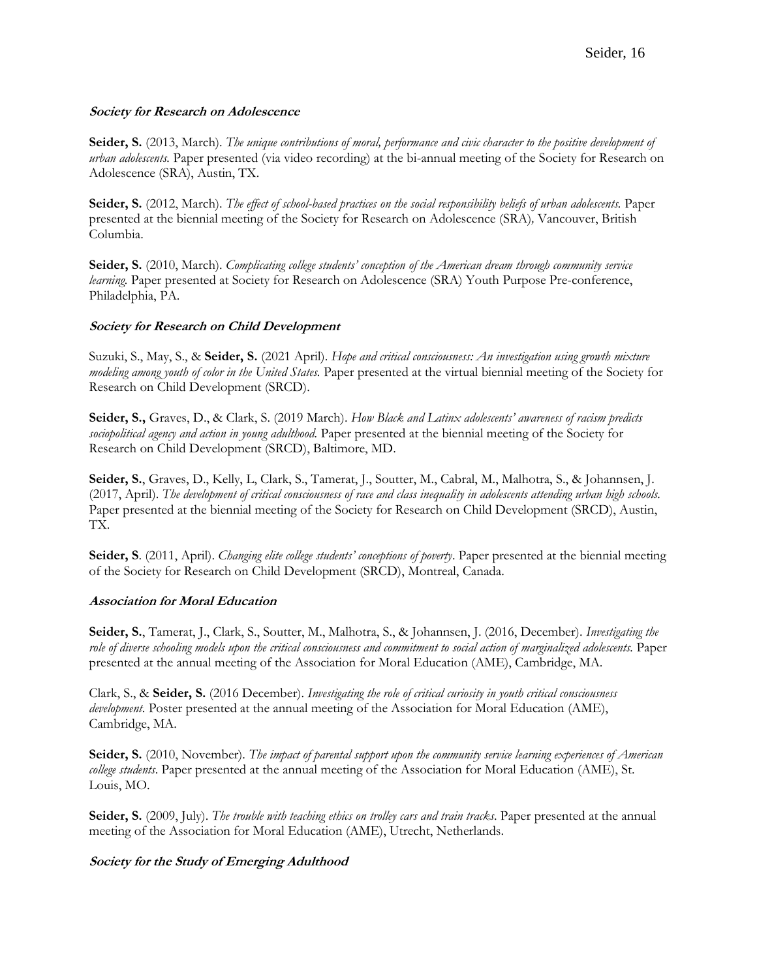#### **Society for Research on Adolescence**

**Seider, S.** (2013, March). *The unique contributions of moral, performance and civic character to the positive development of urban adolescents.* Paper presented (via video recording) at the bi-annual meeting of the Society for Research on Adolescence (SRA), Austin, TX.

**Seider, S.** (2012, March). *The effect of school-based practices on the social responsibility beliefs of urban adolescents.* Paper presented at the biennial meeting of the Society for Research on Adolescence (SRA)*,* Vancouver, British Columbia.

**Seider, S.** (2010, March). *Complicating college students' conception of the American dream through community service learning*. Paper presented at Society for Research on Adolescence (SRA) Youth Purpose Pre-conference, Philadelphia, PA.

#### **Society for Research on Child Development**

Suzuki, S., May, S., & **Seider, S.** (2021 April). *Hope and critical consciousness: An investigation using growth mixture modeling among youth of color in the United States.* Paper presented at the virtual biennial meeting of the Society for Research on Child Development (SRCD).

**Seider, S.,** Graves, D., & Clark, S. (2019 March). *How Black and Latinx adolescents' awareness of racism predicts sociopolitical agency and action in young adulthood.* Paper presented at the biennial meeting of the Society for Research on Child Development (SRCD), Baltimore, MD.

**Seider, S.**, Graves, D., Kelly, L, Clark, S., Tamerat, J., Soutter, M., Cabral, M., Malhotra, S., & Johannsen, J. (2017, April). *The development of critical consciousness of race and class inequality in adolescents attending urban high schools.* Paper presented at the biennial meeting of the Society for Research on Child Development (SRCD), Austin, TX.

**Seider, S**. (2011, April). *Changing elite college students' conceptions of poverty*. Paper presented at the biennial meeting of the Society for Research on Child Development (SRCD), Montreal, Canada.

#### **Association for Moral Education**

**Seider, S.**, Tamerat, J., Clark, S., Soutter, M., Malhotra, S., & Johannsen, J. (2016, December). *Investigating the role of diverse schooling models upon the critical consciousness and commitment to social action of marginalized adolescents.* Paper presented at the annual meeting of the Association for Moral Education (AME), Cambridge, MA.

Clark, S., & **Seider, S.** (2016 December). *Investigating the role of critical curiosity in youth critical consciousness development*. Poster presented at the annual meeting of the Association for Moral Education (AME), Cambridge, MA.

**Seider, S.** (2010, November). *The impact of parental support upon the community service learning experiences of American college students*. Paper presented at the annual meeting of the Association for Moral Education (AME), St. Louis, MO.

**Seider, S.** (2009, July). *The trouble with teaching ethics on trolley cars and train tracks*. Paper presented at the annual meeting of the Association for Moral Education (AME), Utrecht, Netherlands.

#### **Society for the Study of Emerging Adulthood**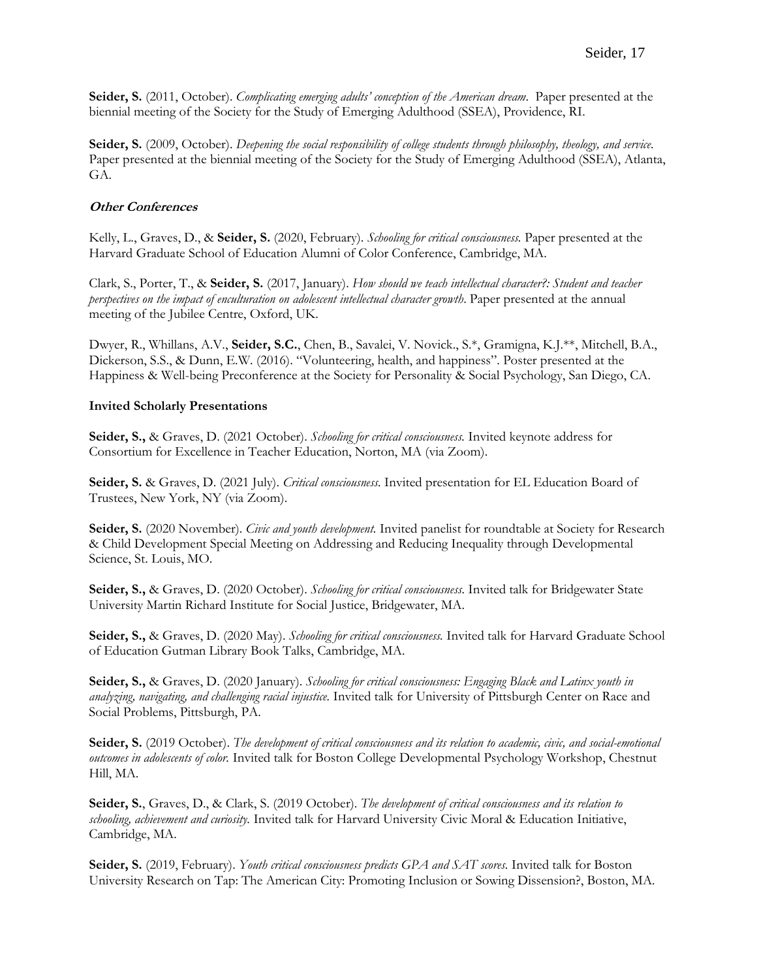**Seider, S.** (2011, October). *Complicating emerging adults' conception of the American dream*. Paper presented at the biennial meeting of the Society for the Study of Emerging Adulthood (SSEA), Providence, RI.

**Seider, S.** (2009, October). *Deepening the social responsibility of college students through philosophy, theology, and service*. Paper presented at the biennial meeting of the Society for the Study of Emerging Adulthood (SSEA), Atlanta, GA.

# **Other Conferences**

Kelly, L., Graves, D., & **Seider, S.** (2020, February). *Schooling for critical consciousness.* Paper presented at the Harvard Graduate School of Education Alumni of Color Conference, Cambridge, MA.

Clark, S., Porter, T., & **Seider, S.** (2017, January). *How should we teach intellectual character?: Student and teacher perspectives on the impact of enculturation on adolescent intellectual character growth*. Paper presented at the annual meeting of the Jubilee Centre, Oxford, UK.

Dwyer, R., Whillans, A.V., **Seider, S.C.**, Chen, B., Savalei, V. Novick., S.\*, Gramigna, K.J.\*\*, Mitchell, B.A., Dickerson, S.S., & Dunn, E.W. (2016). "Volunteering, health, and happiness". Poster presented at the Happiness & Well-being Preconference at the Society for Personality & Social Psychology, San Diego, CA.

#### **Invited Scholarly Presentations**

**Seider, S.,** & Graves, D. (2021 October). *Schooling for critical consciousness.* Invited keynote address for Consortium for Excellence in Teacher Education, Norton, MA (via Zoom).

**Seider, S.** & Graves, D. (2021 July). *Critical consciousness.* Invited presentation for EL Education Board of Trustees, New York, NY (via Zoom).

**Seider, S.** (2020 November). *Civic and youth development*. Invited panelist for roundtable at Society for Research & Child Development Special Meeting on Addressing and Reducing Inequality through Developmental Science, St. Louis, MO.

**Seider, S.,** & Graves, D. (2020 October). *Schooling for critical consciousness.* Invited talk for Bridgewater State University Martin Richard Institute for Social Justice, Bridgewater, MA.

**Seider, S.,** & Graves, D. (2020 May). *Schooling for critical consciousness.* Invited talk for Harvard Graduate School of Education Gutman Library Book Talks, Cambridge, MA.

**Seider, S.,** & Graves, D. (2020 January). *Schooling for critical consciousness: Engaging Black and Latinx youth in analyzing, navigating, and challenging racial injustice.* Invited talk for University of Pittsburgh Center on Race and Social Problems, Pittsburgh, PA.

**Seider, S.** (2019 October). *The development of critical consciousness and its relation to academic, civic, and social-emotional outcomes in adolescents of color.* Invited talk for Boston College Developmental Psychology Workshop, Chestnut Hill, MA.

**Seider, S.**, Graves, D., & Clark, S. (2019 October). *The development of critical consciousness and its relation to schooling, achievement and curiosity.* Invited talk for Harvard University Civic Moral & Education Initiative, Cambridge, MA.

**Seider, S.** (2019, February). *Youth critical consciousness predicts GPA and SAT scores.* Invited talk for Boston University Research on Tap: The American City: Promoting Inclusion or Sowing Dissension?, Boston, MA.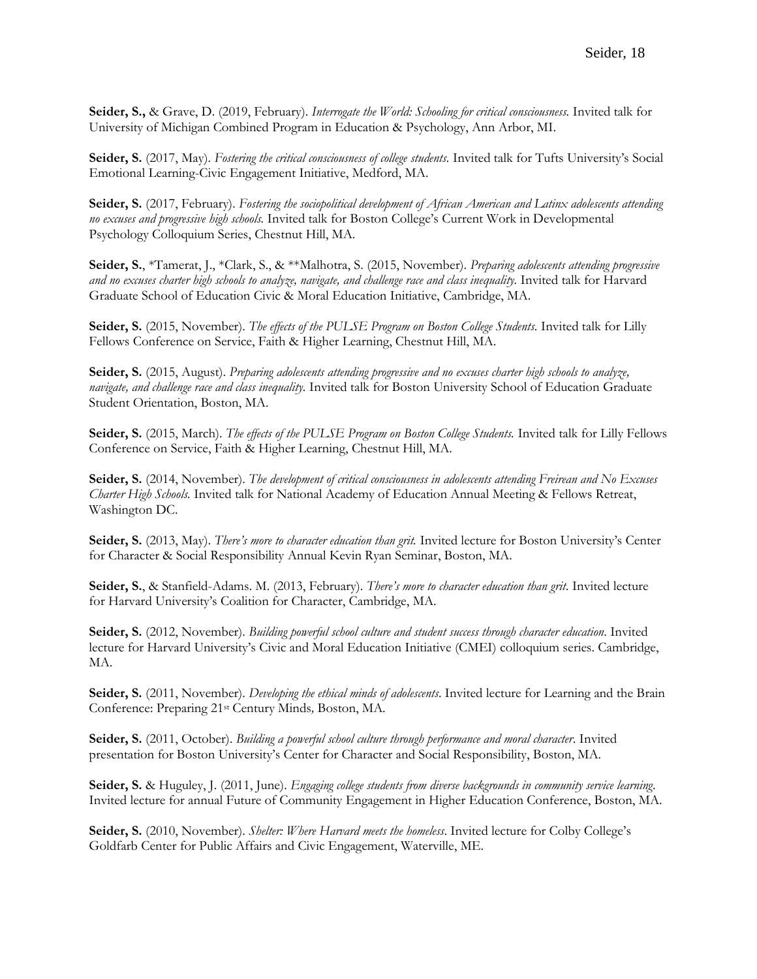**Seider, S.,** & Grave, D. (2019, February). *Interrogate the World: Schooling for critical consciousness.* Invited talk for University of Michigan Combined Program in Education & Psychology, Ann Arbor, MI.

**Seider, S.** (2017, May). *Fostering the critical consciousness of college students.* Invited talk for Tufts University's Social Emotional Learning-Civic Engagement Initiative, Medford, MA.

**Seider, S.** (2017, February). *Fostering the sociopolitical development of African American and Latinx adolescents attending no excuses and progressive high schools.* Invited talk for Boston College's Current Work in Developmental Psychology Colloquium Series, Chestnut Hill, MA.

**Seider, S.**, \*Tamerat, J., \*Clark, S., & \*\*Malhotra, S. (2015, November). *Preparing adolescents attending progressive and no excuses charter high schools to analyze, navigate, and challenge race and class inequality.* Invited talk for Harvard Graduate School of Education Civic & Moral Education Initiative, Cambridge, MA.

**Seider, S.** (2015, November). *The effects of the PULSE Program on Boston College Students.* Invited talk for Lilly Fellows Conference on Service, Faith & Higher Learning, Chestnut Hill, MA.

**Seider, S.** (2015, August). *Preparing adolescents attending progressive and no excuses charter high schools to analyze, navigate, and challenge race and class inequality.* Invited talk for Boston University School of Education Graduate Student Orientation, Boston, MA.

**Seider, S.** (2015, March). *The effects of the PULSE Program on Boston College Students.* Invited talk for Lilly Fellows Conference on Service, Faith & Higher Learning, Chestnut Hill, MA.

**Seider, S.** (2014, November). *The development of critical consciousness in adolescents attending Freirean and No Excuses Charter High Schools.* Invited talk for National Academy of Education Annual Meeting & Fellows Retreat, Washington DC.

**Seider, S.** (2013, May). *There's more to character education than grit.* Invited lecture for Boston University's Center for Character & Social Responsibility Annual Kevin Ryan Seminar, Boston, MA.

**Seider, S.**, & Stanfield-Adams. M. (2013, February). *There's more to character education than grit*. Invited lecture for Harvard University's Coalition for Character, Cambridge, MA.

**Seider, S.** (2012, November). *Building powerful school culture and student success through character education*. Invited lecture for Harvard University's Civic and Moral Education Initiative (CMEI) colloquium series. Cambridge, MA.

**Seider, S.** (2011, November). *Developing the ethical minds of adolescents*. Invited lecture for Learning and the Brain Conference: Preparing 21st Century Minds*,* Boston, MA.

**Seider, S.** (2011, October). *Building a powerful school culture through performance and moral character*. Invited presentation for Boston University's Center for Character and Social Responsibility, Boston, MA.

**Seider, S.** & Huguley, J. (2011, June). *Engaging college students from diverse backgrounds in community service learning*. Invited lecture for annual Future of Community Engagement in Higher Education Conference, Boston, MA.

**Seider, S.** (2010, November). *Shelter: Where Harvard meets the homeless*. Invited lecture for Colby College's Goldfarb Center for Public Affairs and Civic Engagement, Waterville, ME.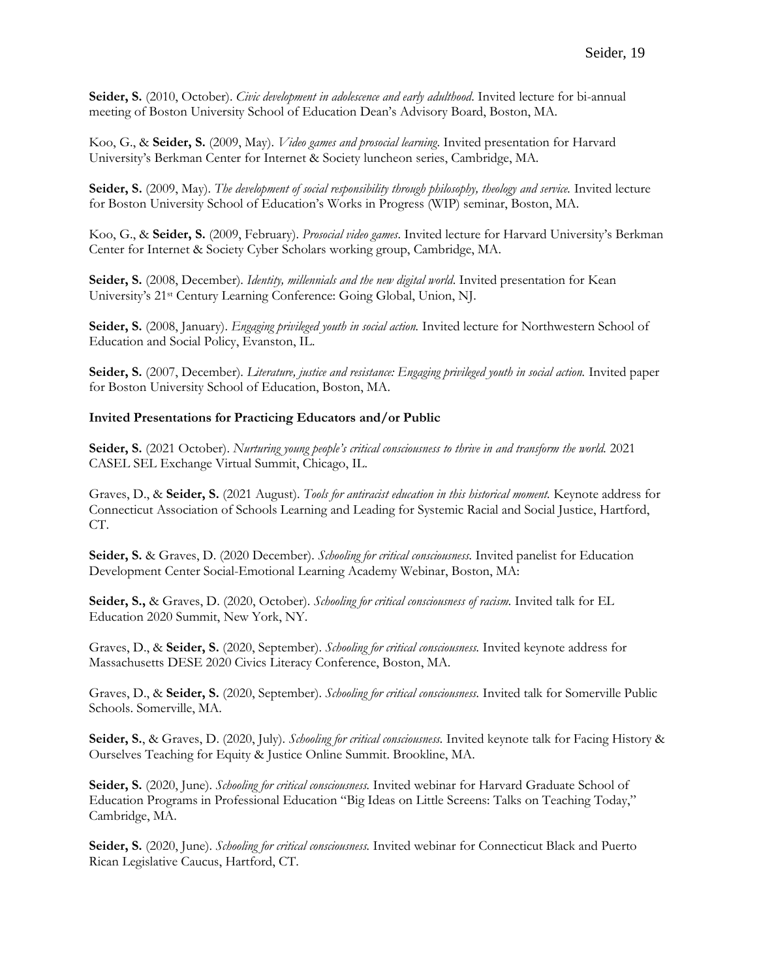**Seider, S.** (2010, October). *Civic development in adolescence and early adulthood*. Invited lecture for bi-annual meeting of Boston University School of Education Dean's Advisory Board, Boston, MA.

Koo, G., & **Seider, S.** (2009, May). *Video games and prosocial learning*. Invited presentation for Harvard University's Berkman Center for Internet & Society luncheon series, Cambridge, MA.

**Seider, S.** (2009, May). *The development of social responsibility through philosophy, theology and service.* Invited lecture for Boston University School of Education's Works in Progress (WIP) seminar, Boston, MA.

Koo, G., & **Seider, S.** (2009, February). *Prosocial video games*. Invited lecture for Harvard University's Berkman Center for Internet & Society Cyber Scholars working group, Cambridge, MA.

**Seider, S.** (2008, December). *Identity, millennials and the new digital world*. Invited presentation for Kean University's 21st Century Learning Conference: Going Global, Union, NJ.

**Seider, S.** (2008, January). *Engaging privileged youth in social action.* Invited lecture for Northwestern School of Education and Social Policy, Evanston, IL.

**Seider, S.** (2007, December). *Literature, justice and resistance: Engaging privileged youth in social action.* Invited paper for Boston University School of Education, Boston, MA.

#### **Invited Presentations for Practicing Educators and/or Public**

**Seider, S.** (2021 October). *Nurturing young people's critical consciousness to thrive in and transform the world.* 2021 CASEL SEL Exchange Virtual Summit, Chicago, IL.

Graves, D., & **Seider, S.** (2021 August). *Tools for antiracist education in this historical moment.* Keynote address for Connecticut Association of Schools Learning and Leading for Systemic Racial and Social Justice, Hartford, CT.

**Seider, S.** & Graves, D. (2020 December). *Schooling for critical consciousness.* Invited panelist for Education Development Center Social-Emotional Learning Academy Webinar, Boston, MA:

**Seider, S.,** & Graves, D. (2020, October). *Schooling for critical consciousness of racism.* Invited talk for EL Education 2020 Summit, New York, NY.

Graves, D., & **Seider, S.** (2020, September). *Schooling for critical consciousness.* Invited keynote address for Massachusetts DESE 2020 Civics Literacy Conference, Boston, MA.

Graves, D., & **Seider, S.** (2020, September). *Schooling for critical consciousness.* Invited talk for Somerville Public Schools. Somerville, MA.

**Seider, S.**, & Graves, D. (2020, July). *Schooling for critical consciousness.* Invited keynote talk for Facing History & Ourselves Teaching for Equity & Justice Online Summit. Brookline, MA.

**Seider, S.** (2020, June). *Schooling for critical consciousness.* Invited webinar for Harvard Graduate School of Education Programs in Professional Education "Big Ideas on Little Screens: Talks on Teaching Today," Cambridge, MA.

**Seider, S.** (2020, June). *Schooling for critical consciousness.* Invited webinar for Connecticut Black and Puerto Rican Legislative Caucus, Hartford, CT.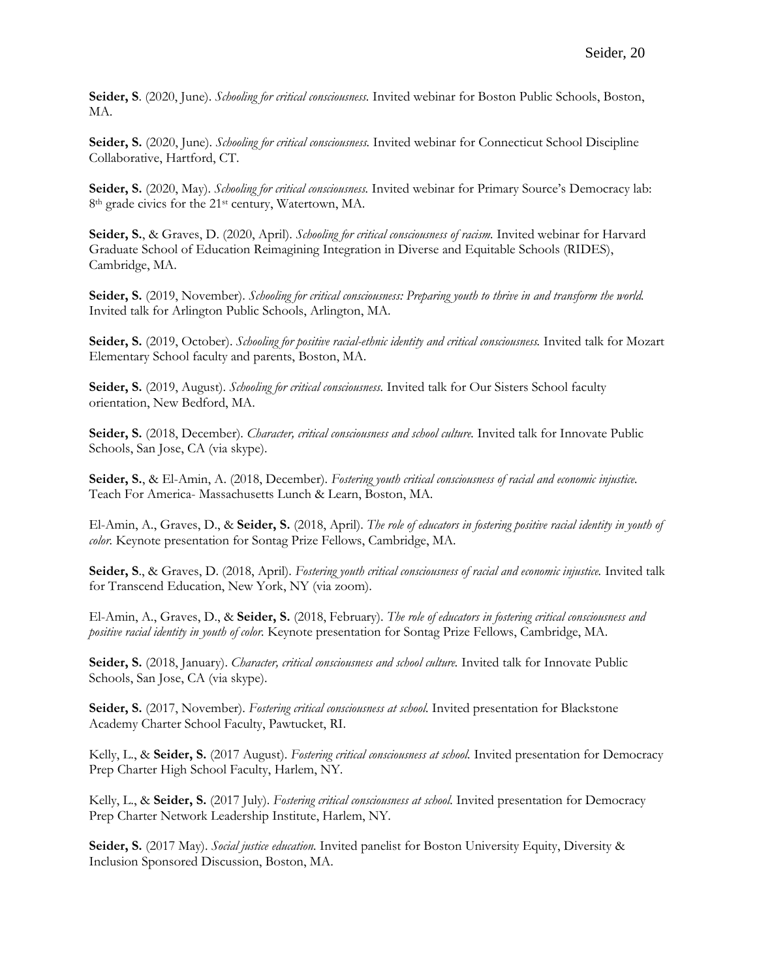**Seider, S**. (2020, June). *Schooling for critical consciousness.* Invited webinar for Boston Public Schools, Boston, MA.

**Seider, S.** (2020, June). *Schooling for critical consciousness.* Invited webinar for Connecticut School Discipline Collaborative, Hartford, CT.

**Seider, S.** (2020, May). *Schooling for critical consciousness.* Invited webinar for Primary Source's Democracy lab: 8th grade civics for the 21st century, Watertown, MA.

**Seider, S.**, & Graves, D. (2020, April). *Schooling for critical consciousness of racism.* Invited webinar for Harvard Graduate School of Education Reimagining Integration in Diverse and Equitable Schools (RIDES), Cambridge, MA.

Seider, S. (2019, November). *Schooling for critical consciousness: Preparing youth to thrive in and transform the world.* Invited talk for Arlington Public Schools, Arlington, MA.

**Seider, S.** (2019, October). *Schooling for positive racial-ethnic identity and critical consciousness.* Invited talk for Mozart Elementary School faculty and parents, Boston, MA.

**Seider, S.** (2019, August). *Schooling for critical consciousness.* Invited talk for Our Sisters School faculty orientation, New Bedford, MA.

**Seider, S.** (2018, December). *Character, critical consciousness and school culture.* Invited talk for Innovate Public Schools, San Jose, CA (via skype).

**Seider, S.**, & El-Amin, A. (2018, December). *Fostering youth critical consciousness of racial and economic injustice.*  Teach For America- Massachusetts Lunch & Learn, Boston, MA.

El-Amin, A., Graves, D., & **Seider, S.** (2018, April). *The role of educators in fostering positive racial identity in youth of color.* Keynote presentation for Sontag Prize Fellows, Cambridge, MA.

**Seider, S**., & Graves, D. (2018, April). *Fostering youth critical consciousness of racial and economic injustice.* Invited talk for Transcend Education, New York, NY (via zoom).

El-Amin, A., Graves, D., & **Seider, S.** (2018, February). *The role of educators in fostering critical consciousness and positive racial identity in youth of color.* Keynote presentation for Sontag Prize Fellows, Cambridge, MA.

Seider, S. (2018, January). *Character, critical consciousness and school culture*. Invited talk for Innovate Public Schools, San Jose, CA (via skype).

Seider, S. (2017, November). *Fostering critical consciousness at school*. Invited presentation for Blackstone Academy Charter School Faculty, Pawtucket, RI.

Kelly, L., & **Seider, S.** (2017 August). *Fostering critical consciousness at school.* Invited presentation for Democracy Prep Charter High School Faculty, Harlem, NY.

Kelly, L., & **Seider, S.** (2017 July). *Fostering critical consciousness at school.* Invited presentation for Democracy Prep Charter Network Leadership Institute, Harlem, NY.

**Seider, S.** (2017 May). *Social justice education.* Invited panelist for Boston University Equity, Diversity & Inclusion Sponsored Discussion, Boston, MA.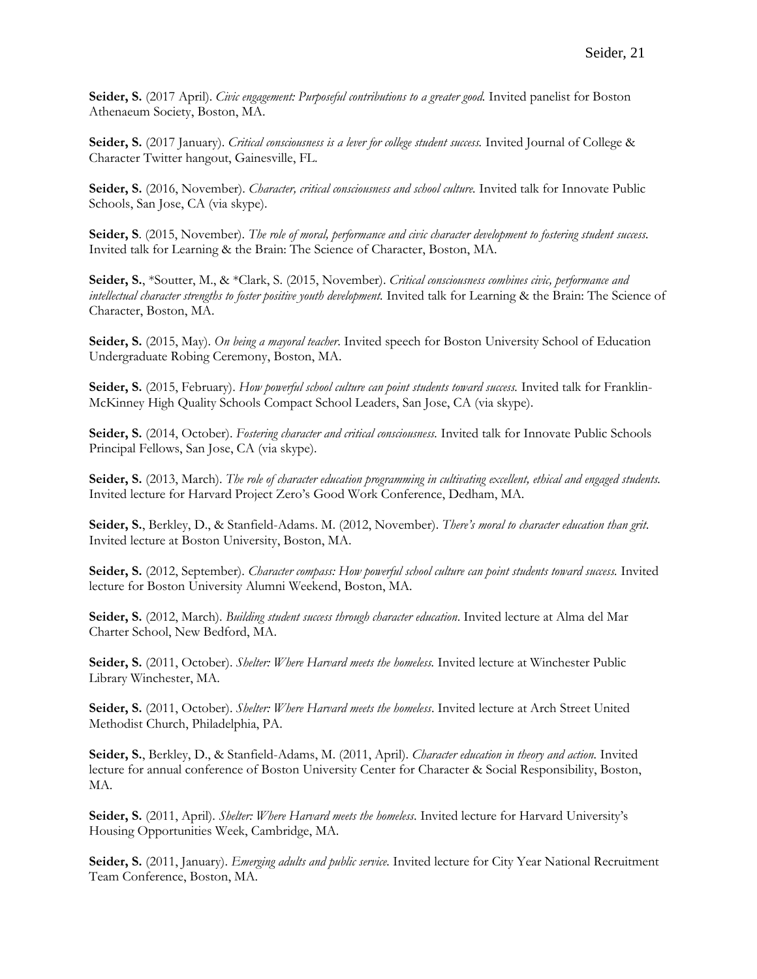**Seider, S.** (2017 April). *Civic engagement: Purposeful contributions to a greater good.* Invited panelist for Boston Athenaeum Society, Boston, MA.

Seider, S. (2017 January). *Critical consciousness is a lever for college student success*. Invited Journal of College & Character Twitter hangout, Gainesville, FL.

**Seider, S.** (2016, November). *Character, critical consciousness and school culture.* Invited talk for Innovate Public Schools, San Jose, CA (via skype).

**Seider, S**. (2015, November). *The role of moral, performance and civic character development to fostering student success.* Invited talk for Learning & the Brain: The Science of Character, Boston, MA.

**Seider, S.**, \*Soutter, M., & \*Clark, S. (2015, November). *Critical consciousness combines civic, performance and intellectual character strengths to foster positive youth development.* Invited talk for Learning & the Brain: The Science of Character, Boston, MA.

**Seider, S.** (2015, May). *On being a mayoral teacher*. Invited speech for Boston University School of Education Undergraduate Robing Ceremony, Boston, MA.

**Seider, S.** (2015, February). *How powerful school culture can point students toward success.* Invited talk for Franklin-McKinney High Quality Schools Compact School Leaders, San Jose, CA (via skype).

**Seider, S.** (2014, October). *Fostering character and critical consciousness.* Invited talk for Innovate Public Schools Principal Fellows, San Jose, CA (via skype).

**Seider, S.** (2013, March). *The role of character education programming in cultivating excellent, ethical and engaged students.*  Invited lecture for Harvard Project Zero's Good Work Conference, Dedham, MA.

**Seider, S.**, Berkley, D., & Stanfield-Adams. M. (2012, November). *There's moral to character education than grit*. Invited lecture at Boston University, Boston, MA.

**Seider, S.** (2012, September). *Character compass: How powerful school culture can point students toward success.* Invited lecture for Boston University Alumni Weekend, Boston, MA.

**Seider, S.** (2012, March). *Building student success through character education*. Invited lecture at Alma del Mar Charter School, New Bedford, MA.

**Seider, S.** (2011, October). *Shelter: Where Harvard meets the homeless.* Invited lecture at Winchester Public Library Winchester, MA.

**Seider, S.** (2011, October). *Shelter: Where Harvard meets the homeless*. Invited lecture at Arch Street United Methodist Church, Philadelphia, PA.

**Seider, S.**, Berkley, D., & Stanfield-Adams, M. (2011, April). *Character education in theory and action.* Invited lecture for annual conference of Boston University Center for Character & Social Responsibility, Boston, MA.

**Seider, S.** (2011, April). *Shelter: Where Harvard meets the homeless*. Invited lecture for Harvard University's Housing Opportunities Week, Cambridge, MA.

**Seider, S.** (2011, January). *Emerging adults and public service.* Invited lecture for City Year National Recruitment Team Conference, Boston, MA.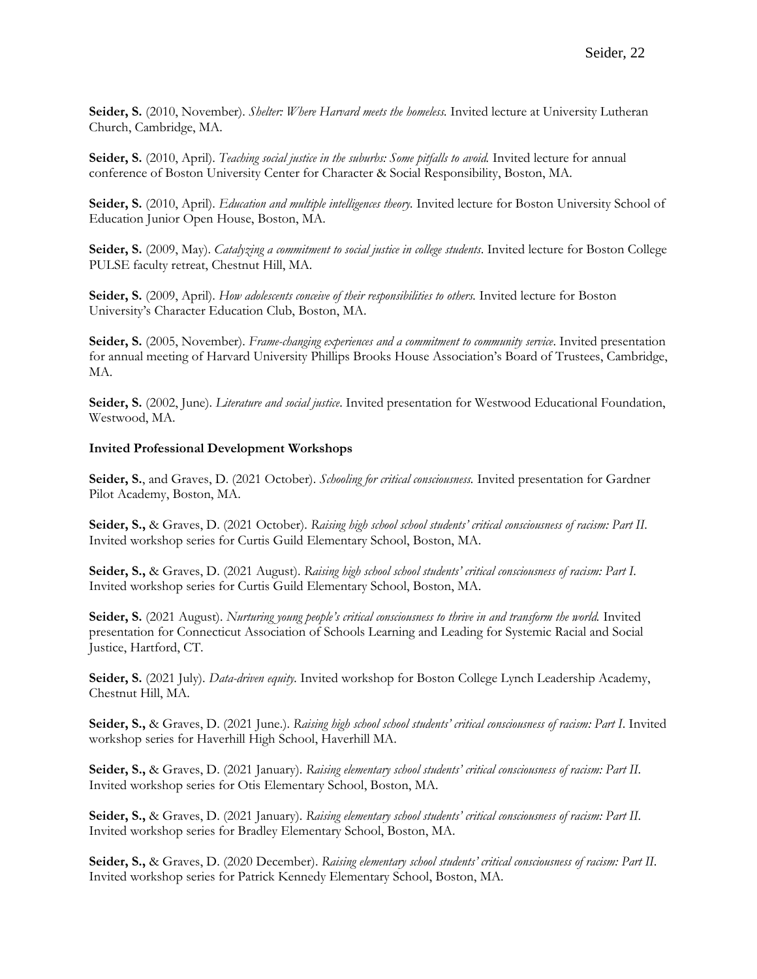**Seider, S.** (2010, November). *Shelter: Where Harvard meets the homeless.* Invited lecture at University Lutheran Church, Cambridge, MA.

**Seider, S.** (2010, April). *Teaching social justice in the suburbs: Some pitfalls to avoid.* Invited lecture for annual conference of Boston University Center for Character & Social Responsibility, Boston, MA.

**Seider, S.** (2010, April). *Education and multiple intelligences theory.* Invited lecture for Boston University School of Education Junior Open House, Boston, MA.

**Seider, S.** (2009, May). *Catalyzing a commitment to social justice in college students*. Invited lecture for Boston College PULSE faculty retreat, Chestnut Hill, MA.

**Seider, S.** (2009, April). *How adolescents conceive of their responsibilities to others.* Invited lecture for Boston University's Character Education Club, Boston, MA.

**Seider, S.** (2005, November). *Frame-changing experiences and a commitment to community service*. Invited presentation for annual meeting of Harvard University Phillips Brooks House Association's Board of Trustees, Cambridge, MA.

**Seider, S.** (2002, June). *Literature and social justice*. Invited presentation for Westwood Educational Foundation, Westwood, MA.

#### **Invited Professional Development Workshops**

**Seider, S.**, and Graves, D. (2021 October). *Schooling for critical consciousness.* Invited presentation for Gardner Pilot Academy, Boston, MA.

**Seider, S.,** & Graves, D. (2021 October). *Raising high school school students' critical consciousness of racism: Part II*. Invited workshop series for Curtis Guild Elementary School, Boston, MA.

**Seider, S.,** & Graves, D. (2021 August). *Raising high school school students' critical consciousness of racism: Part I*. Invited workshop series for Curtis Guild Elementary School, Boston, MA.

**Seider, S.** (2021 August). *Nurturing young people's critical consciousness to thrive in and transform the world.* Invited presentation for Connecticut Association of Schools Learning and Leading for Systemic Racial and Social Justice, Hartford, CT.

**Seider, S.** (2021 July). *Data-driven equity.* Invited workshop for Boston College Lynch Leadership Academy, Chestnut Hill, MA.

**Seider, S.,** & Graves, D. (2021 June.). *Raising high school school students' critical consciousness of racism: Part I*. Invited workshop series for Haverhill High School, Haverhill MA.

**Seider, S.,** & Graves, D. (2021 January). *Raising elementary school students' critical consciousness of racism: Part II*. Invited workshop series for Otis Elementary School, Boston, MA.

**Seider, S.,** & Graves, D. (2021 January). *Raising elementary school students' critical consciousness of racism: Part II*. Invited workshop series for Bradley Elementary School, Boston, MA.

**Seider, S.,** & Graves, D. (2020 December). *Raising elementary school students' critical consciousness of racism: Part II*. Invited workshop series for Patrick Kennedy Elementary School, Boston, MA.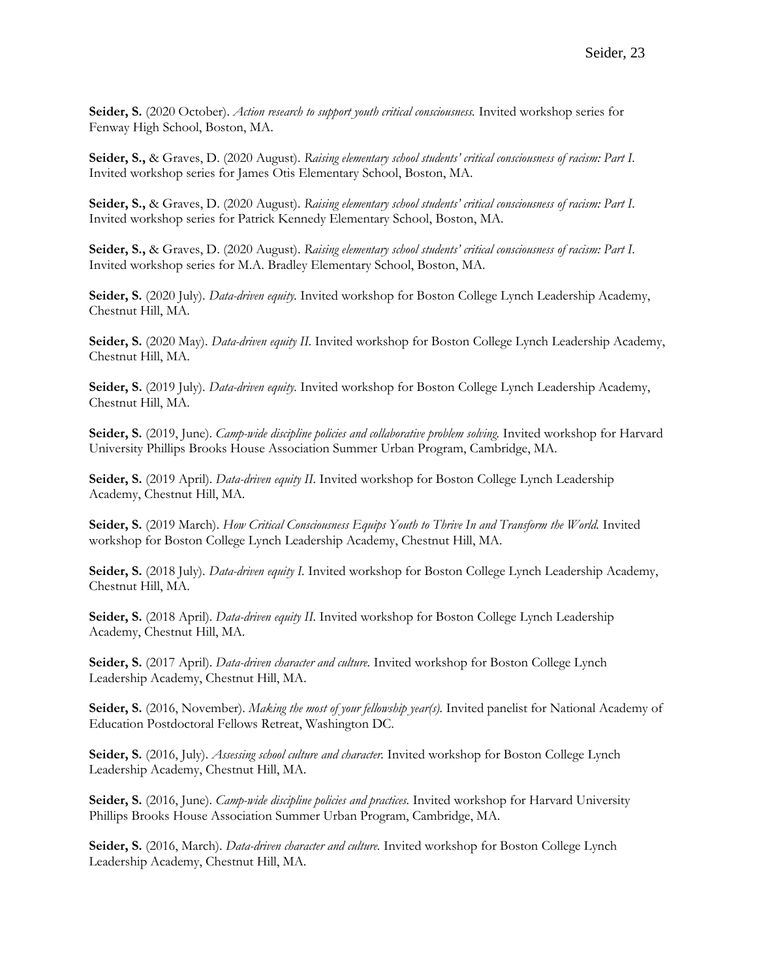**Seider, S.** (2020 October). *Action research to support youth critical consciousness.* Invited workshop series for Fenway High School, Boston, MA.

**Seider, S.,** & Graves, D. (2020 August). *Raising elementary school students' critical consciousness of racism: Part I*. Invited workshop series for James Otis Elementary School, Boston, MA.

**Seider, S.,** & Graves, D. (2020 August). *Raising elementary school students' critical consciousness of racism: Part I*. Invited workshop series for Patrick Kennedy Elementary School, Boston, MA.

**Seider, S.,** & Graves, D. (2020 August). *Raising elementary school students' critical consciousness of racism: Part I*. Invited workshop series for M.A. Bradley Elementary School, Boston, MA.

**Seider, S.** (2020 July). *Data-driven equity.* Invited workshop for Boston College Lynch Leadership Academy, Chestnut Hill, MA.

**Seider, S.** (2020 May). *Data-driven equity II.* Invited workshop for Boston College Lynch Leadership Academy, Chestnut Hill, MA.

**Seider, S.** (2019 July). *Data-driven equity.* Invited workshop for Boston College Lynch Leadership Academy, Chestnut Hill, MA.

**Seider, S.** (2019, June). *Camp-wide discipline policies and collaborative problem solving.* Invited workshop for Harvard University Phillips Brooks House Association Summer Urban Program, Cambridge, MA.

**Seider, S.** (2019 April). *Data-driven equity II*. Invited workshop for Boston College Lynch Leadership Academy, Chestnut Hill, MA.

**Seider, S.** (2019 March). *How Critical Consciousness Equips Youth to Thrive In and Transform the World.* Invited workshop for Boston College Lynch Leadership Academy, Chestnut Hill, MA.

Seider, S. (2018 July). *Data-driven equity I*. Invited workshop for Boston College Lynch Leadership Academy, Chestnut Hill, MA.

**Seider, S.** (2018 April). *Data-driven equity II.* Invited workshop for Boston College Lynch Leadership Academy, Chestnut Hill, MA.

**Seider, S.** (2017 April). *Data-driven character and culture.* Invited workshop for Boston College Lynch Leadership Academy, Chestnut Hill, MA.

Seider, S. (2016, November). *Making the most of your fellowship year(s)*. Invited panelist for National Academy of Education Postdoctoral Fellows Retreat, Washington DC.

**Seider, S.** (2016, July). *Assessing school culture and character.* Invited workshop for Boston College Lynch Leadership Academy, Chestnut Hill, MA.

**Seider, S.** (2016, June). *Camp-wide discipline policies and practices.* Invited workshop for Harvard University Phillips Brooks House Association Summer Urban Program, Cambridge, MA.

**Seider, S.** (2016, March). *Data-driven character and culture.* Invited workshop for Boston College Lynch Leadership Academy, Chestnut Hill, MA.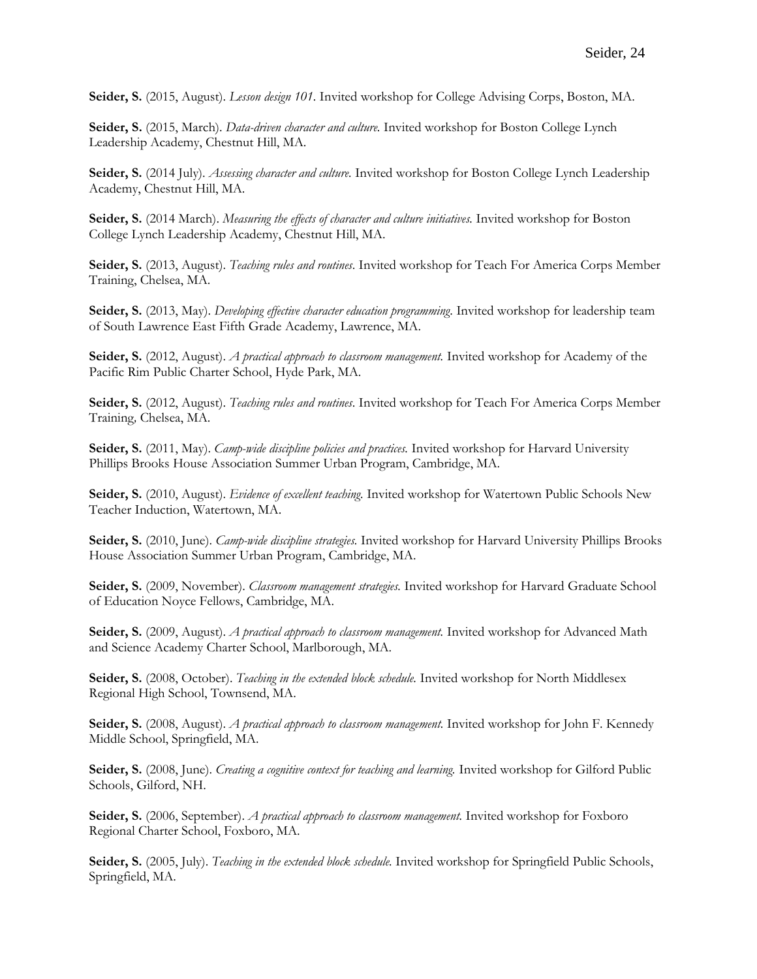**Seider, S.** (2015, August). *Lesson design 101.* Invited workshop for College Advising Corps, Boston, MA.

**Seider, S.** (2015, March). *Data-driven character and culture.* Invited workshop for Boston College Lynch Leadership Academy, Chestnut Hill, MA.

**Seider, S.** (2014 July). *Assessing character and culture.* Invited workshop for Boston College Lynch Leadership Academy, Chestnut Hill, MA.

**Seider, S.** (2014 March). *Measuring the effects of character and culture initiatives.* Invited workshop for Boston College Lynch Leadership Academy, Chestnut Hill, MA.

**Seider, S.** (2013, August). *Teaching rules and routines*. Invited workshop for Teach For America Corps Member Training, Chelsea, MA.

**Seider, S.** (2013, May). *Developing effective character education programming*. Invited workshop for leadership team of South Lawrence East Fifth Grade Academy, Lawrence, MA.

**Seider, S.** (2012, August). *A practical approach to classroom management.* Invited workshop for Academy of the Pacific Rim Public Charter School, Hyde Park, MA.

**Seider, S.** (2012, August). *Teaching rules and routines*. Invited workshop for Teach For America Corps Member Training*,* Chelsea, MA.

**Seider, S.** (2011, May). *Camp-wide discipline policies and practices.* Invited workshop for Harvard University Phillips Brooks House Association Summer Urban Program, Cambridge, MA.

**Seider, S.** (2010, August). *Evidence of excellent teaching.* Invited workshop for Watertown Public Schools New Teacher Induction, Watertown, MA.

**Seider, S.** (2010, June). *Camp-wide discipline strategies.* Invited workshop for Harvard University Phillips Brooks House Association Summer Urban Program, Cambridge, MA.

**Seider, S.** (2009, November). *Classroom management strategies.* Invited workshop for Harvard Graduate School of Education Noyce Fellows, Cambridge, MA.

**Seider, S.** (2009, August). *A practical approach to classroom management.* Invited workshop for Advanced Math and Science Academy Charter School, Marlborough, MA.

Seider, S. (2008, October). *Teaching in the extended block schedule*. Invited workshop for North Middlesex Regional High School, Townsend, MA.

**Seider, S.** (2008, August). *A practical approach to classroom management.* Invited workshop for John F. Kennedy Middle School, Springfield, MA.

**Seider, S.** (2008, June). *Creating a cognitive context for teaching and learning.* Invited workshop for Gilford Public Schools, Gilford, NH.

**Seider, S.** (2006, September). *A practical approach to classroom management.* Invited workshop for Foxboro Regional Charter School, Foxboro, MA.

**Seider, S.** (2005, July). *Teaching in the extended block schedule.* Invited workshop for Springfield Public Schools, Springfield, MA.